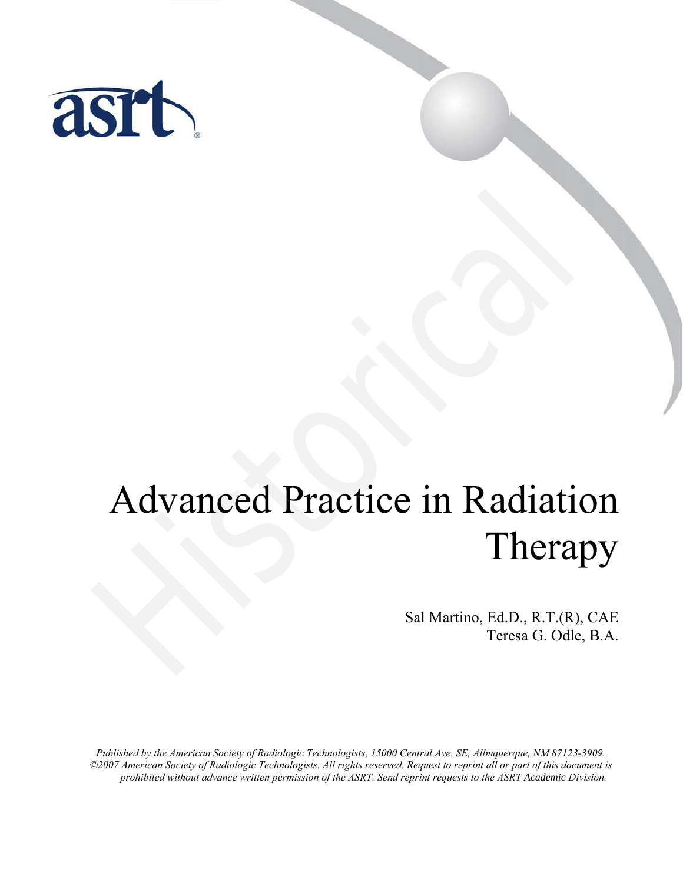

# Advanced Practice in Radiation Therapy Advanced Practice in Radiation (Therap Sal Martino, Ed.D., R.T.(R), Sal Martino, Ed.D., R.T.(R), Teresa G. Odle,

Sal Martino, Ed.D., R.T.(R), CAE Teresa G. Odle, B.A.

*Published by the American Society of Radiologic Technologists, 15000 Central Ave. SE, Albuquerque, NM 87123-3909. ©2007 American Society of Radiologic Technologists. All rights reserved. Request to reprint all or part of this document is prohibited without advance written permission of the ASRT. Send reprint requests to the ASRT Academic Division.*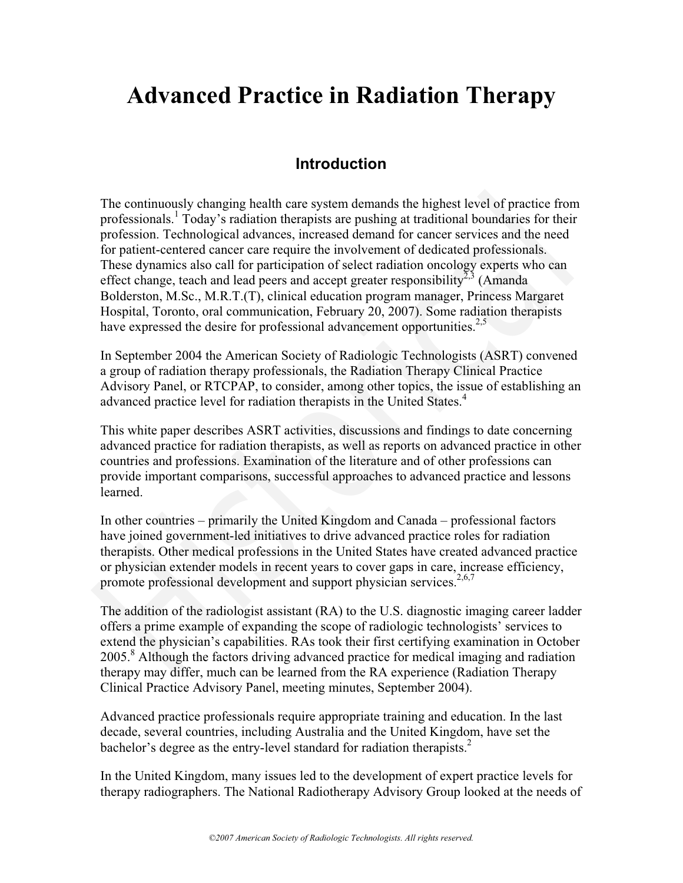# **Advanced Practice in Radiation Therapy**

### **Introduction**

The continuously changing health care system demands the highest level of practice from professionals.<sup>1</sup> Today's radiation therapists are pushing at traditional boundaries for their profession. Technological advances, increased demand for cancer services and the need for patient-centered cancer care require the involvement of dedicated professionals. These dynamics also call for participation of select radiation oncology experts who can effect change, teach and lead peers and accept greater responsibility<sup>2,3</sup> (Amanda) Bolderston, M.Sc., M.R.T.(T), clinical education program manager, Princess Margaret Hospital, Toronto, oral communication, February 20, 2007). Some radiation therapists have expressed the desire for professional advancement opportunities.<sup>2,5</sup> The continuously changing health care system demands the highest level of practice from<br>professionals,<sup>1</sup> Today's radiation therapists are pushing at traditional boundaries for their<br>profession. Technological advances, in

In September 2004 the American Society of Radiologic Technologists (ASRT) convened a group of radiation therapy professionals, the Radiation Therapy Clinical Practice Advisory Panel, or RTCPAP, to consider, among other topics, the issue of establishing an advanced practice level for radiation therapists in the United States.<sup>4</sup>

This white paper describes ASRT activities, discussions and findings to date concerning advanced practice for radiation therapists, as well as reports on advanced practice in other countries and professions. Examination of the literature and of other professions can provide important comparisons, successful approaches to advanced practice and lessons learned.

In other countries – primarily the United Kingdom and Canada – professional factors have joined government-led initiatives to drive advanced practice roles for radiation therapists. Other medical professions in the United States have created advanced practice or physician extender models in recent years to cover gaps in care, increase efficiency, promote professional development and support physician services.<sup>2,6,7</sup>

The addition of the radiologist assistant (RA) to the U.S. diagnostic imaging career ladder offers a prime example of expanding the scope of radiologic technologists' services to extend the physician's capabilities. RAs took their first certifying examination in October 2005.<sup>8</sup> Although the factors driving advanced practice for medical imaging and radiation therapy may differ, much can be learned from the RA experience (Radiation Therapy Clinical Practice Advisory Panel, meeting minutes, September 2004).

Advanced practice professionals require appropriate training and education. In the last decade, several countries, including Australia and the United Kingdom, have set the bachelor's degree as the entry-level standard for radiation therapists.<sup>2</sup>

In the United Kingdom, many issues led to the development of expert practice levels for therapy radiographers. The National Radiotherapy Advisory Group looked at the needs of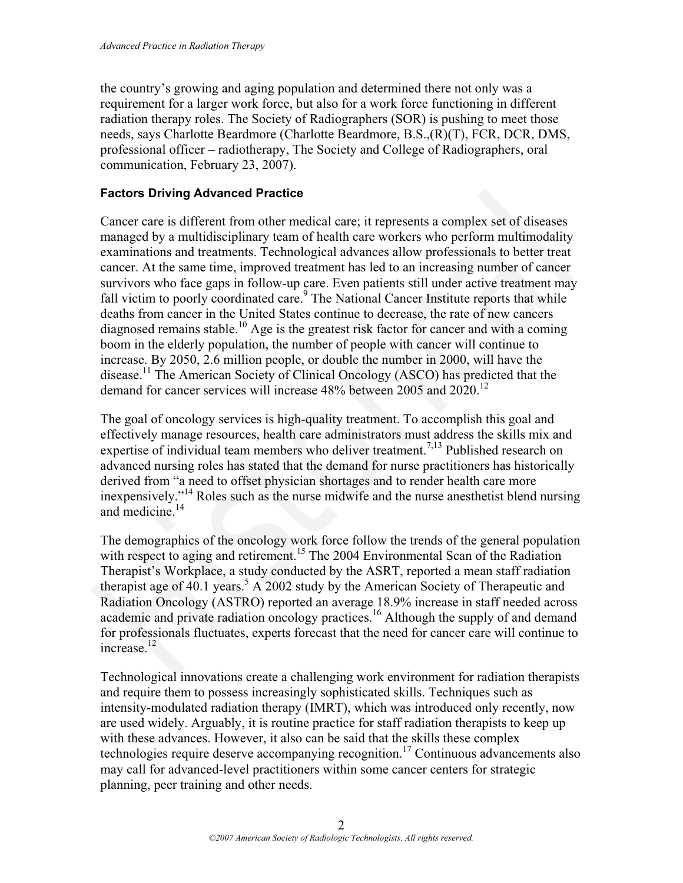the country's growing and aging population and determined there not only was a requirement for a larger work force, but also for a work force functioning in different radiation therapy roles. The Society of Radiographers (SOR) is pushing to meet those needs, says Charlotte Beardmore (Charlotte Beardmore, B.S.,(R)(T), FCR, DCR, DMS, professional officer – radiotherapy, The Society and College of Radiographers, oral communication, February 23, 2007).

#### **Factors Driving Advanced Practice**

Cancer care is different from other medical care; it represents a complex set of diseases managed by a multidisciplinary team of health care workers who perform multimodality examinations and treatments. Technological advances allow professionals to better treat cancer. At the same time, improved treatment has led to an increasing number of cancer survivors who face gaps in follow-up care. Even patients still under active treatment may fall victim to poorly coordinated care.<sup>9</sup> The National Cancer Institute reports that while deaths from cancer in the United States continue to decrease, the rate of new cancers diagnosed remains stable.<sup>10</sup> Age is the greatest risk factor for cancer and with a coming boom in the elderly population, the number of people with cancer will continue to increase. By 2050, 2.6 million people, or double the number in 2000, will have the disease.<sup>11</sup> The American Society of Clinical Oncology (ASCO) has predicted that the demand for cancer services will increase  $48\%$  between 2005 and 2020.<sup>12</sup> **Factors Driving Advanced Practice**<br>**Cancer** care is different from other medical care; it represents a complex set of diseases conservations manigated by a multidisciplinary tecam of neal the vew kers who perform multimo

The goal of oncology services is high-quality treatment. To accomplish this goal and effectively manage resources, health care administrators must address the skills mix and expertise of individual team members who deliver treatment.<sup>7,13</sup> Published research on advanced nursing roles has stated that the demand for nurse practitioners has historically derived from "a need to offset physician shortages and to render health care more inexpensively."14 Roles such as the nurse midwife and the nurse anesthetist blend nursing and medicine.<sup>14</sup>

The demographics of the oncology work force follow the trends of the general population with respect to aging and retirement.<sup>15</sup> The 2004 Environmental Scan of the Radiation Therapist's Workplace, a study conducted by the ASRT, reported a mean staff radiation therapist age of  $40.1$  years.<sup>5</sup> A 2002 study by the American Society of Therapeutic and Radiation Oncology (ASTRO) reported an average 18.9% increase in staff needed across academic and private radiation oncology practices.<sup>16</sup> Although the supply of and demand for professionals fluctuates, experts forecast that the need for cancer care will continue to increase.<sup>12</sup>

Technological innovations create a challenging work environment for radiation therapists and require them to possess increasingly sophisticated skills. Techniques such as intensity-modulated radiation therapy (IMRT), which was introduced only recently, now are used widely. Arguably, it is routine practice for staff radiation therapists to keep up with these advances. However, it also can be said that the skills these complex technologies require deserve accompanying recognition.<sup>17</sup> Continuous advancements also may call for advanced-level practitioners within some cancer centers for strategic planning, peer training and other needs.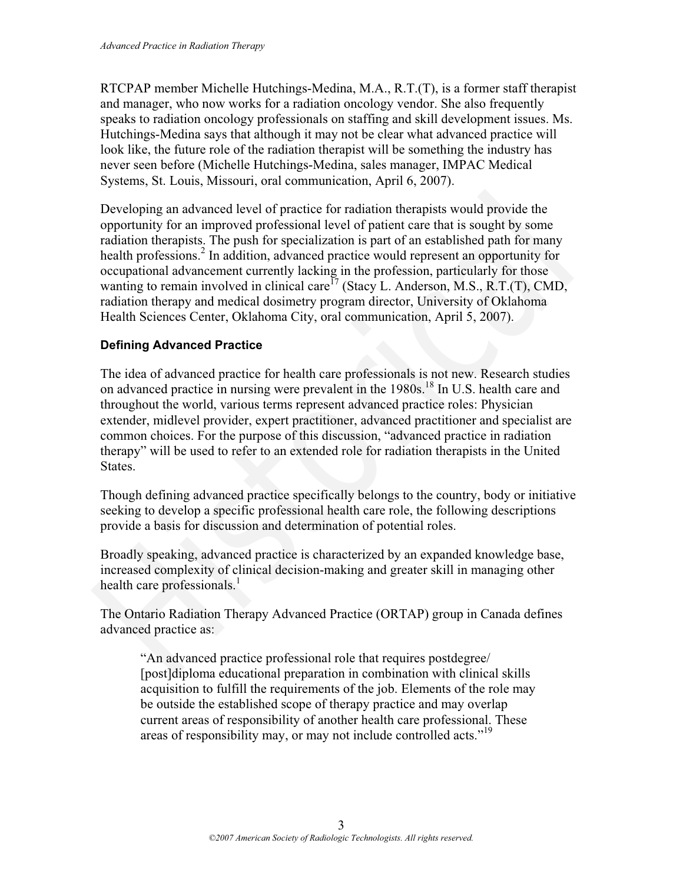RTCPAP member Michelle Hutchings-Medina, M.A., R.T.(T), is a former staff therapist and manager, who now works for a radiation oncology vendor. She also frequently speaks to radiation oncology professionals on staffing and skill development issues. Ms. Hutchings-Medina says that although it may not be clear what advanced practice will look like, the future role of the radiation therapist will be something the industry has never seen before (Michelle Hutchings-Medina, sales manager, IMPAC Medical Systems, St. Louis, Missouri, oral communication, April 6, 2007).

Developing an advanced level of practice for radiation therapists would provide the opportunity for an improved professional level of patient care that is sought by some radiation therapists. The push for specialization is part of an established path for many health professions.<sup>2</sup> In addition, advanced practice would represent an opportunity for occupational advancement currently lacking in the profession, particularly for those wanting to remain involved in clinical care<sup>17</sup> (Stacy L. Anderson, M.S., R.T.(T), CMD, radiation therapy and medical dosimetry program director, University of Oklahoma Health Sciences Center, Oklahoma City, oral communication, April 5, 2007). Developing an advanced level of practice for radiation therapists would provide the<br>opportunity for an improved professional level of patient care that is sought by some<br>adation therapists. The push for specialization is p

#### **Defining Advanced Practice**

The idea of advanced practice for health care professionals is not new. Research studies on advanced practice in nursing were prevalent in the 1980s.18 In U.S. health care and throughout the world, various terms represent advanced practice roles: Physician extender, midlevel provider, expert practitioner, advanced practitioner and specialist are common choices. For the purpose of this discussion, "advanced practice in radiation therapy" will be used to refer to an extended role for radiation therapists in the United States.

Though defining advanced practice specifically belongs to the country, body or initiative seeking to develop a specific professional health care role, the following descriptions provide a basis for discussion and determination of potential roles.

Broadly speaking, advanced practice is characterized by an expanded knowledge base, increased complexity of clinical decision-making and greater skill in managing other health care professionals. $<sup>1</sup>$ </sup>

The Ontario Radiation Therapy Advanced Practice (ORTAP) group in Canada defines advanced practice as:

"An advanced practice professional role that requires postdegree/ [post]diploma educational preparation in combination with clinical skills acquisition to fulfill the requirements of the job. Elements of the role may be outside the established scope of therapy practice and may overlap current areas of responsibility of another health care professional. These areas of responsibility may, or may not include controlled acts."<sup>19</sup>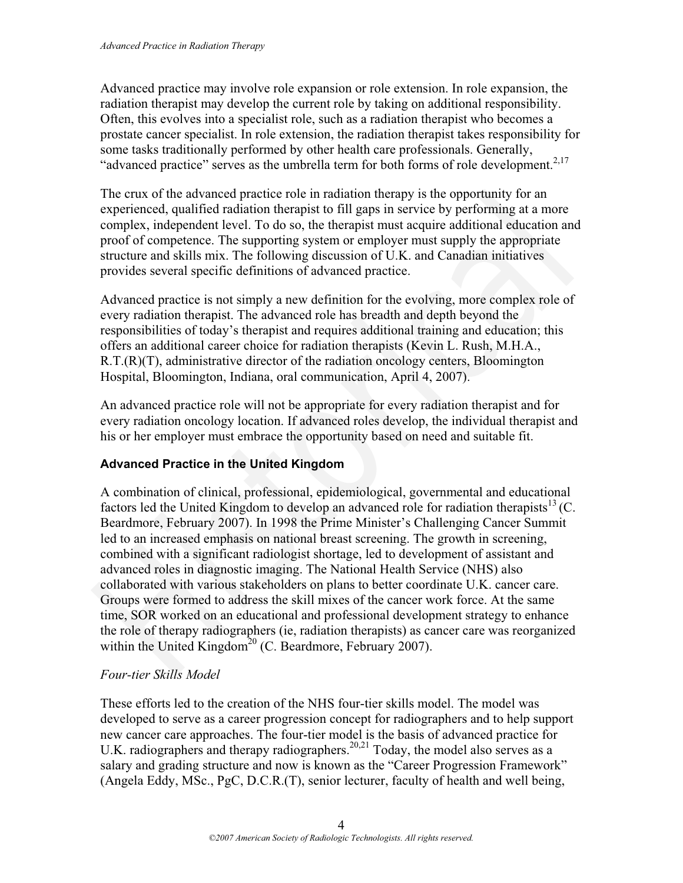Advanced practice may involve role expansion or role extension. In role expansion, the radiation therapist may develop the current role by taking on additional responsibility. Often, this evolves into a specialist role, such as a radiation therapist who becomes a prostate cancer specialist. In role extension, the radiation therapist takes responsibility for some tasks traditionally performed by other health care professionals. Generally, "advanced practice" serves as the umbrella term for both forms of role development.<sup>2,17</sup>

The crux of the advanced practice role in radiation therapy is the opportunity for an experienced, qualified radiation therapist to fill gaps in service by performing at a more complex, independent level. To do so, the therapist must acquire additional education and proof of competence. The supporting system or employer must supply the appropriate structure and skills mix. The following discussion of U.K. and Canadian initiatives provides several specific definitions of advanced practice.

Advanced practice is not simply a new definition for the evolving, more complex role of every radiation therapist. The advanced role has breadth and depth beyond the responsibilities of today's therapist and requires additional training and education; this offers an additional career choice for radiation therapists (Kevin L. Rush, M.H.A., R.T.(R)(T), administrative director of the radiation oncology centers, Bloomington Hospital, Bloomington, Indiana, oral communication, April 4, 2007).

An advanced practice role will not be appropriate for every radiation therapist and for every radiation oncology location. If advanced roles develop, the individual therapist and his or her employer must embrace the opportunity based on need and suitable fit.

#### **Advanced Practice in the United Kingdom**

A combination of clinical, professional, epidemiological, governmental and educational factors led the United Kingdom to develop an advanced role for radiation therapists  $13$  (C. Beardmore, February 2007). In 1998 the Prime Minister's Challenging Cancer Summit led to an increased emphasis on national breast screening. The growth in screening, combined with a significant radiologist shortage, led to development of assistant and advanced roles in diagnostic imaging. The National Health Service (NHS) also collaborated with various stakeholders on plans to better coordinate U.K. cancer care. Groups were formed to address the skill mixes of the cancer work force. At the same time, SOR worked on an educational and professional development strategy to enhance the role of therapy radiographers (ie, radiation therapists) as cancer care was reorganized within the United Kingdom<sup>20</sup> (C. Beardmore, February 2007). The crux of the advanced practice role in radiation therapy is the opportunity for an experienced, qualified radiation therapist on fill gaps in service by performing at a more exomplex, independent level. To do so, the t

#### *Four-tier Skills Model*

These efforts led to the creation of the NHS four-tier skills model. The model was developed to serve as a career progression concept for radiographers and to help support new cancer care approaches. The four-tier model is the basis of advanced practice for U.K. radiographers and therapy radiographers.<sup>20,21</sup> Today, the model also serves as a salary and grading structure and now is known as the "Career Progression Framework" (Angela Eddy, MSc., PgC, D.C.R.(T), senior lecturer, faculty of health and well being,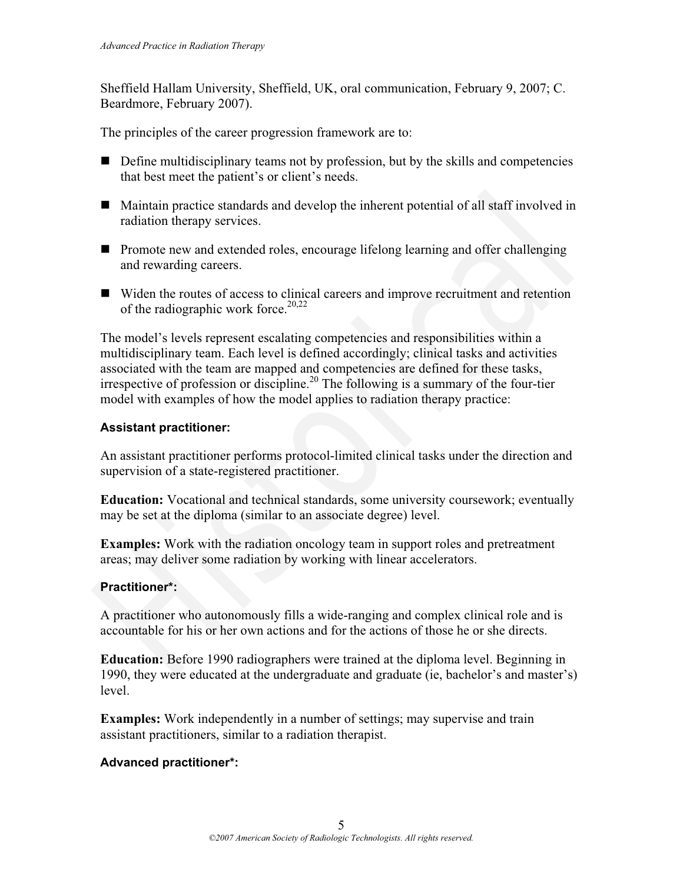Sheffield Hallam University, Sheffield, UK, oral communication, February 9, 2007; C. Beardmore, February 2007).

The principles of the career progression framework are to:

- $\blacksquare$  Define multidisciplinary teams not by profession, but by the skills and competencies that best meet the patient's or client's needs.
- Maintain practice standards and develop the inherent potential of all staff involved in radiation therapy services.
- **Promote new and extended roles, encourage lifelong learning and offer challenging** and rewarding careers.
- Widen the routes of access to clinical careers and improve recruitment and retention of the radiographic work force.<sup>20,22</sup>

The model's levels represent escalating competencies and responsibilities within a multidisciplinary team. Each level is defined accordingly; clinical tasks and activities associated with the team are mapped and competencies are defined for these tasks, irrespective of profession or discipline.<sup>20</sup> The following is a summary of the four-tier model with examples of how the model applies to radiation therapy practice: ■ Maintain practice standards and develop the inherent potential of all staff involved in<br>
radiation therapy services.<br>
■ Promote new and extended roles, encourage lifelong learning and offer challenging<br>
and rewarding c

#### **Assistant practitioner:**

An assistant practitioner performs protocol-limited clinical tasks under the direction and supervision of a state-registered practitioner.

**Education:** Vocational and technical standards, some university coursework; eventually may be set at the diploma (similar to an associate degree) level.

**Examples:** Work with the radiation oncology team in support roles and pretreatment areas; may deliver some radiation by working with linear accelerators.

#### **Practitioner\*:**

A practitioner who autonomously fills a wide-ranging and complex clinical role and is accountable for his or her own actions and for the actions of those he or she directs.

**Education:** Before 1990 radiographers were trained at the diploma level. Beginning in 1990, they were educated at the undergraduate and graduate (ie, bachelor's and master's) level.

**Examples:** Work independently in a number of settings; may supervise and train assistant practitioners, similar to a radiation therapist.

#### **Advanced practitioner\*:**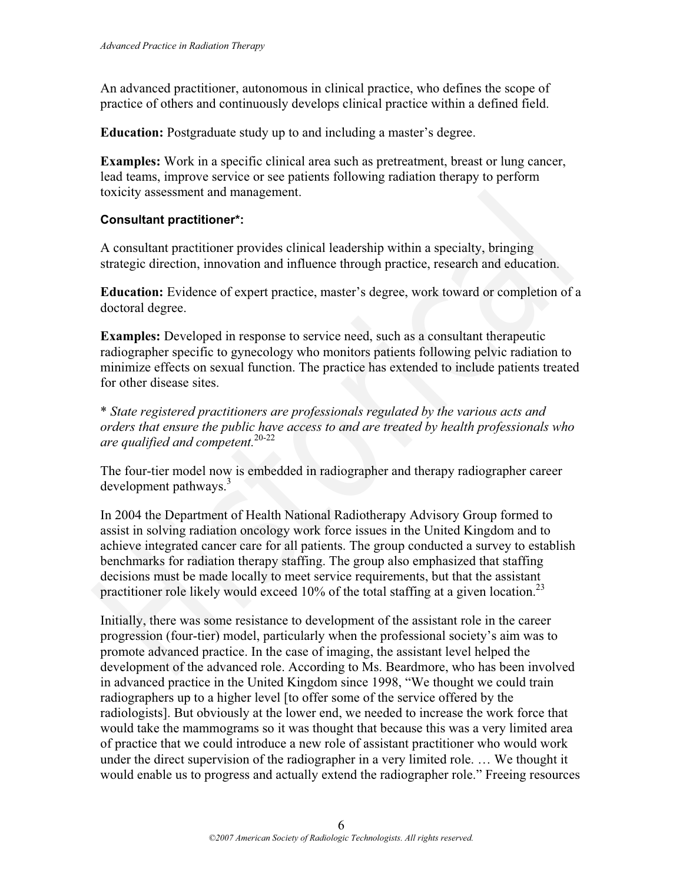An advanced practitioner, autonomous in clinical practice, who defines the scope of practice of others and continuously develops clinical practice within a defined field.

**Education:** Postgraduate study up to and including a master's degree.

**Examples:** Work in a specific clinical area such as pretreatment, breast or lung cancer, lead teams, improve service or see patients following radiation therapy to perform toxicity assessment and management.

#### **Consultant practitioner\*:**

A consultant practitioner provides clinical leadership within a specialty, bringing strategic direction, innovation and influence through practice, research and education.

**Education:** Evidence of expert practice, master's degree, work toward or completion of a doctoral degree.

**Examples:** Developed in response to service need, such as a consultant therapeutic radiographer specific to gynecology who monitors patients following pelvic radiation to minimize effects on sexual function. The practice has extended to include patients treated for other disease sites.

\* *State registered practitioners are professionals regulated by the various acts and orders that ensure the public have access to and are treated by health professionals who are qualified and competent.*20-22

The four-tier model now is embedded in radiographer and therapy radiographer career development pathways. $3$ 

In 2004 the Department of Health National Radiotherapy Advisory Group formed to assist in solving radiation oncology work force issues in the United Kingdom and to achieve integrated cancer care for all patients. The group conducted a survey to establish benchmarks for radiation therapy staffing. The group also emphasized that staffing decisions must be made locally to meet service requirements, but that the assistant practitioner role likely would exceed  $10\%$  of the total staffing at a given location.<sup>23</sup> Consultant practitioner\*:<br>
Consultant practitioner\*:<br>
A consultant practitioner\*:<br>
A consultant practitioner provides clinical leadership within a specialty, bringing<br>
strategie direction, innovation and influence through

Initially, there was some resistance to development of the assistant role in the career progression (four-tier) model, particularly when the professional society's aim was to promote advanced practice. In the case of imaging, the assistant level helped the development of the advanced role. According to Ms. Beardmore, who has been involved in advanced practice in the United Kingdom since 1998, "We thought we could train radiographers up to a higher level [to offer some of the service offered by the radiologists]. But obviously at the lower end, we needed to increase the work force that would take the mammograms so it was thought that because this was a very limited area of practice that we could introduce a new role of assistant practitioner who would work under the direct supervision of the radiographer in a very limited role. … We thought it would enable us to progress and actually extend the radiographer role." Freeing resources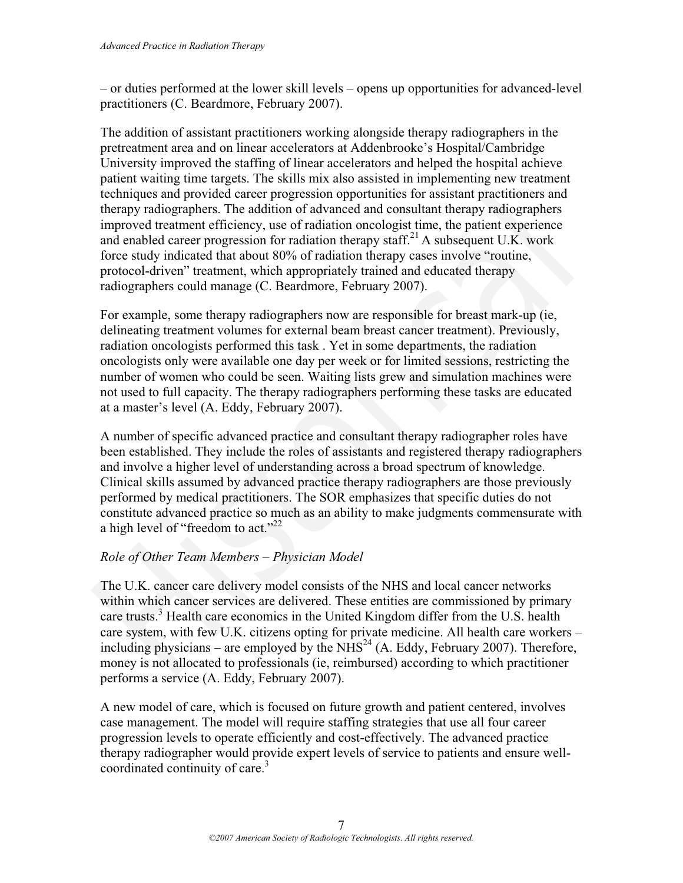– or duties performed at the lower skill levels – opens up opportunities for advanced-level practitioners (C. Beardmore, February 2007).

The addition of assistant practitioners working alongside therapy radiographers in the pretreatment area and on linear accelerators at Addenbrooke's Hospital/Cambridge University improved the staffing of linear accelerators and helped the hospital achieve patient waiting time targets. The skills mix also assisted in implementing new treatment techniques and provided career progression opportunities for assistant practitioners and therapy radiographers. The addition of advanced and consultant therapy radiographers improved treatment efficiency, use of radiation oncologist time, the patient experience and enabled career progression for radiation therapy staff.<sup>21</sup> A subsequent U.K. work force study indicated that about 80% of radiation therapy cases involve "routine, protocol-driven" treatment, which appropriately trained and educated therapy radiographers could manage (C. Beardmore, February 2007).

For example, some therapy radiographers now are responsible for breast mark-up (ie, delineating treatment volumes for external beam breast cancer treatment). Previously, radiation oncologists performed this task . Yet in some departments, the radiation oncologists only were available one day per week or for limited sessions, restricting the number of women who could be seen. Waiting lists grew and simulation machines were not used to full capacity. The therapy radiographers performing these tasks are educated at a master's level (A. Eddy, February 2007).

A number of specific advanced practice and consultant therapy radiographer roles have been established. They include the roles of assistants and registered therapy radiographers and involve a higher level of understanding across a broad spectrum of knowledge. Clinical skills assumed by advanced practice therapy radiographers are those previously performed by medical practitioners. The SOR emphasizes that specific duties do not constitute advanced practice so much as an ability to make judgments commensurate with a high level of "freedom to act."<sup>22</sup> dechmiques and provided career progression opportunities for assistant practitioners and<br>therapy ratio graphers: The addition of advanced and consultant therapy ratio<br>graphers correlates through improved treatment efficien

#### *Role of Other Team Members – Physician Model*

The U.K. cancer care delivery model consists of the NHS and local cancer networks within which cancer services are delivered. These entities are commissioned by primary care trusts.<sup>3</sup> Health care economics in the United Kingdom differ from the U.S. health care system, with few U.K. citizens opting for private medicine. All health care workers – including physicians – are employed by the  $N\overline{HS}^{24}$  (A. Eddy, February 2007). Therefore, money is not allocated to professionals (ie, reimbursed) according to which practitioner performs a service (A. Eddy, February 2007).

A new model of care, which is focused on future growth and patient centered, involves case management. The model will require staffing strategies that use all four career progression levels to operate efficiently and cost-effectively. The advanced practice therapy radiographer would provide expert levels of service to patients and ensure wellcoordinated continuity of care.<sup>3</sup>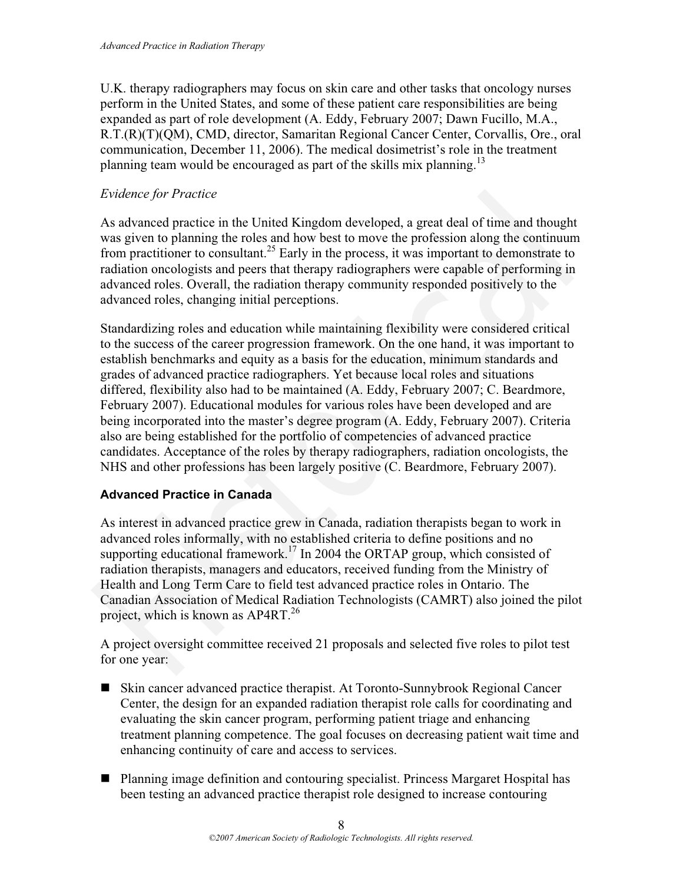U.K. therapy radiographers may focus on skin care and other tasks that oncology nurses perform in the United States, and some of these patient care responsibilities are being expanded as part of role development (A. Eddy, February 2007; Dawn Fucillo, M.A., R.T.(R)(T)(QM), CMD, director, Samaritan Regional Cancer Center, Corvallis, Ore., oral communication, December 11, 2006). The medical dosimetrist's role in the treatment planning team would be encouraged as part of the skills mix planning.<sup>13</sup>

#### *Evidence for Practice*

As advanced practice in the United Kingdom developed, a great deal of time and thought was given to planning the roles and how best to move the profession along the continuum from practitioner to consultant.<sup>25</sup> Early in the process, it was important to demonstrate to radiation oncologists and peers that therapy radiographers were capable of performing in advanced roles. Overall, the radiation therapy community responded positively to the advanced roles, changing initial perceptions.

Standardizing roles and education while maintaining flexibility were considered critical to the success of the career progression framework. On the one hand, it was important to establish benchmarks and equity as a basis for the education, minimum standards and grades of advanced practice radiographers. Yet because local roles and situations differed, flexibility also had to be maintained (A. Eddy, February 2007; C. Beardmore, February 2007). Educational modules for various roles have been developed and are being incorporated into the master's degree program (A. Eddy, February 2007). Criteria also are being established for the portfolio of competencies of advanced practice candidates. Acceptance of the roles by therapy radiographers, radiation oncologists, the NHS and other professions has been largely positive (C. Beardmore, February 2007). Evidence for Practice<br>
As advanced practice in the United Kingdom developed, a great deal of time and thought<br>
As advanced practice in the Unistor May bots to move the profession along the continuum<br>
was given to planning

#### **Advanced Practice in Canada**

As interest in advanced practice grew in Canada, radiation therapists began to work in advanced roles informally, with no established criteria to define positions and no supporting educational framework.<sup>17</sup> In 2004 the ORTAP group, which consisted of radiation therapists, managers and educators, received funding from the Ministry of Health and Long Term Care to field test advanced practice roles in Ontario. The Canadian Association of Medical Radiation Technologists (CAMRT) also joined the pilot project, which is known as AP4RT.<sup>26</sup>

A project oversight committee received 21 proposals and selected five roles to pilot test for one year:

- Skin cancer advanced practice therapist. At Toronto-Sunnybrook Regional Cancer Center, the design for an expanded radiation therapist role calls for coordinating and evaluating the skin cancer program, performing patient triage and enhancing treatment planning competence. The goal focuses on decreasing patient wait time and enhancing continuity of care and access to services.
- Planning image definition and contouring specialist. Princess Margaret Hospital has been testing an advanced practice therapist role designed to increase contouring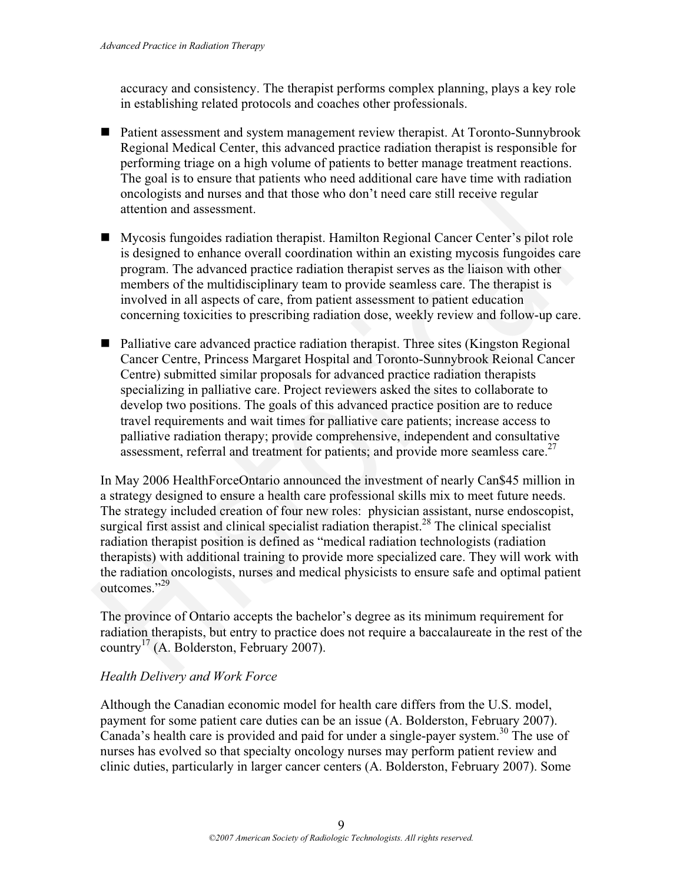accuracy and consistency. The therapist performs complex planning, plays a key role in establishing related protocols and coaches other professionals.

- Patient assessment and system management review therapist. At Toronto-Sunnybrook Regional Medical Center, this advanced practice radiation therapist is responsible for performing triage on a high volume of patients to better manage treatment reactions. The goal is to ensure that patients who need additional care have time with radiation oncologists and nurses and that those who don't need care still receive regular attention and assessment.
- Mycosis fungoides radiation therapist. Hamilton Regional Cancer Center's pilot role is designed to enhance overall coordination within an existing mycosis fungoides care program. The advanced practice radiation therapist serves as the liaison with other members of the multidisciplinary team to provide seamless care. The therapist is involved in all aspects of care, from patient assessment to patient education concerning toxicities to prescribing radiation dose, weekly review and follow-up care.
- Palliative care advanced practice radiation therapist. Three sites (Kingston Regional Cancer Centre, Princess Margaret Hospital and Toronto-Sunnybrook Reional Cancer Centre) submitted similar proposals for advanced practice radiation therapists specializing in palliative care. Project reviewers asked the sites to collaborate to develop two positions. The goals of this advanced practice position are to reduce travel requirements and wait times for palliative care patients; increase access to palliative radiation therapy; provide comprehensive, independent and consultative assessment, referral and treatment for patients; and provide more seamless care.<sup>27</sup> oncologists and nurses and that those who don't need care still receive regular<br>attention and assessment.<br>Myosois fungoides radiation therapist. Hamilton Regional Cancer Center's pilot role<br>is designed to enhance overall

In May 2006 HealthForceOntario announced the investment of nearly Can\$45 million in a strategy designed to ensure a health care professional skills mix to meet future needs. The strategy included creation of four new roles: physician assistant, nurse endoscopist, surgical first assist and clinical specialist radiation therapist.<sup>28</sup> The clinical specialist radiation therapist position is defined as "medical radiation technologists (radiation therapists) with additional training to provide more specialized care. They will work with the radiation oncologists, nurses and medical physicists to ensure safe and optimal patient outcomes."<sup>29</sup>

The province of Ontario accepts the bachelor's degree as its minimum requirement for radiation therapists, but entry to practice does not require a baccalaureate in the rest of the country<sup>17</sup> (A. Bolderston, February 2007).

#### *Health Delivery and Work Force*

Although the Canadian economic model for health care differs from the U.S. model, payment for some patient care duties can be an issue (A. Bolderston, February 2007). Canada's health care is provided and paid for under a single-payer system.<sup>30</sup> The use of nurses has evolved so that specialty oncology nurses may perform patient review and clinic duties, particularly in larger cancer centers (A. Bolderston, February 2007). Some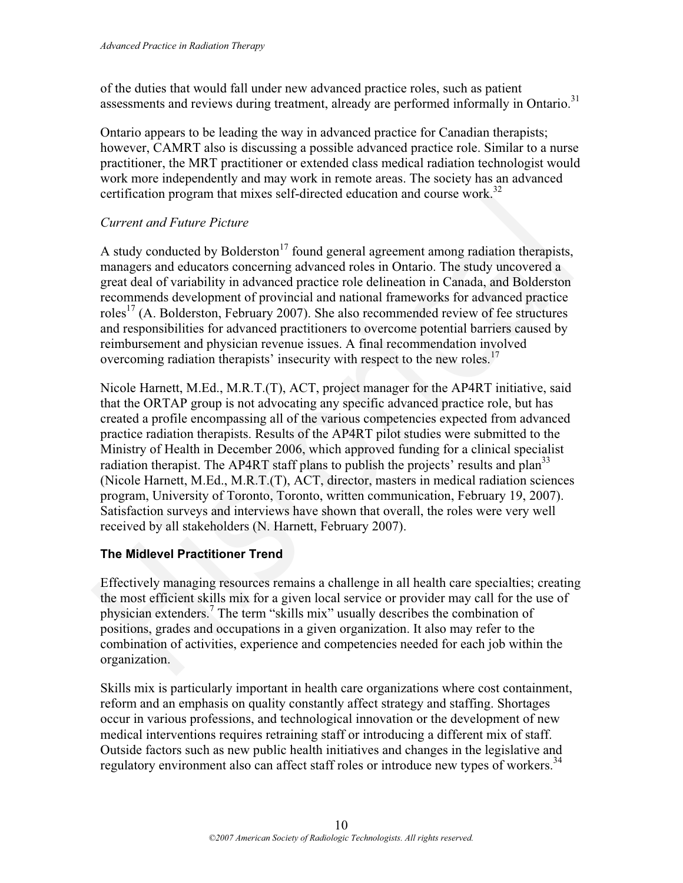of the duties that would fall under new advanced practice roles, such as patient assessments and reviews during treatment, already are performed informally in Ontario.<sup>31</sup>

Ontario appears to be leading the way in advanced practice for Canadian therapists; however, CAMRT also is discussing a possible advanced practice role. Similar to a nurse practitioner, the MRT practitioner or extended class medical radiation technologist would work more independently and may work in remote areas. The society has an advanced certification program that mixes self-directed education and course work.<sup>32</sup>

#### *Current and Future Picture*

A study conducted by Bolderston<sup>17</sup> found general agreement among radiation therapists, managers and educators concerning advanced roles in Ontario. The study uncovered a great deal of variability in advanced practice role delineation in Canada, and Bolderston recommends development of provincial and national frameworks for advanced practice roles<sup>17</sup> (A. Bolderston, February 2007). She also recommended review of fee structures and responsibilities for advanced practitioners to overcome potential barriers caused by reimbursement and physician revenue issues. A final recommendation involved overcoming radiation therapists' insecurity with respect to the new roles.<sup>17</sup>

Nicole Harnett, M.Ed., M.R.T.(T), ACT, project manager for the AP4RT initiative, said that the ORTAP group is not advocating any specific advanced practice role, but has created a profile encompassing all of the various competencies expected from advanced practice radiation therapists. Results of the AP4RT pilot studies were submitted to the Ministry of Health in December 2006, which approved funding for a clinical specialist radiation therapist. The AP4RT staff plans to publish the projects' results and plan<sup>33</sup> (Nicole Harnett, M.Ed., M.R.T.(T), ACT, director, masters in medical radiation sciences program, University of Toronto, Toronto, written communication, February 19, 2007). Satisfaction surveys and interviews have shown that overall, the roles were very well received by all stakeholders (N. Harnett, February 2007). certification program that mixes self-directed education and course work.<sup>72</sup><br>Current and Future Picture<br>A study conducted by Bolderston<sup>17</sup> found general agreement among radiation therapists,<br>A study conducted by Bolderst

#### **The Midlevel Practitioner Trend**

Effectively managing resources remains a challenge in all health care specialties; creating the most efficient skills mix for a given local service or provider may call for the use of physician extenders.<sup>7</sup> The term "skills mix" usually describes the combination of positions, grades and occupations in a given organization. It also may refer to the combination of activities, experience and competencies needed for each job within the organization.

Skills mix is particularly important in health care organizations where cost containment, reform and an emphasis on quality constantly affect strategy and staffing. Shortages occur in various professions, and technological innovation or the development of new medical interventions requires retraining staff or introducing a different mix of staff. Outside factors such as new public health initiatives and changes in the legislative and regulatory environment also can affect staff roles or introduce new types of workers.<sup>34</sup>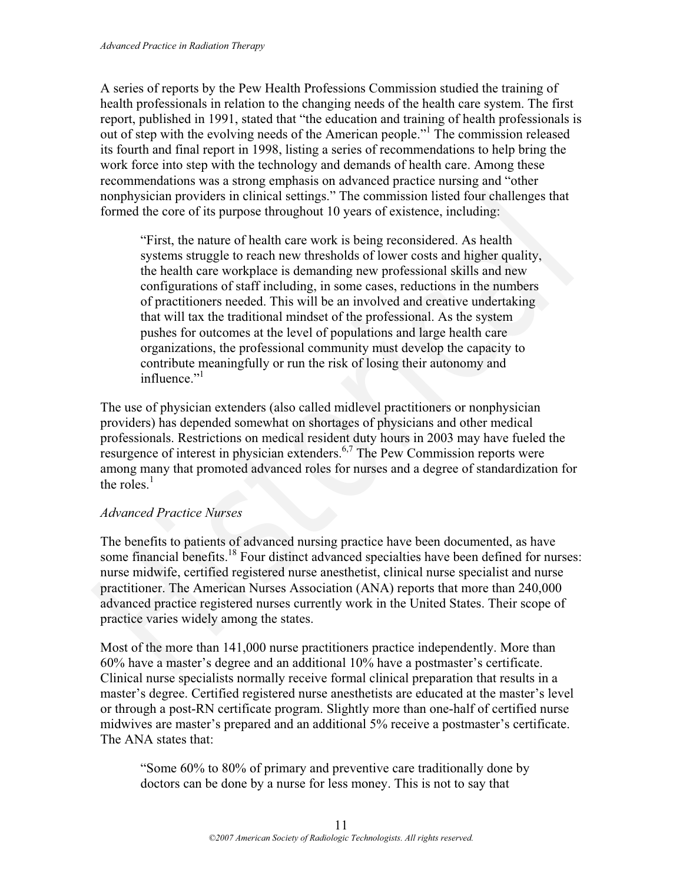A series of reports by the Pew Health Professions Commission studied the training of health professionals in relation to the changing needs of the health care system. The first report, published in 1991, stated that "the education and training of health professionals is out of step with the evolving needs of the American people."1 The commission released its fourth and final report in 1998, listing a series of recommendations to help bring the work force into step with the technology and demands of health care. Among these recommendations was a strong emphasis on advanced practice nursing and "other nonphysician providers in clinical settings." The commission listed four challenges that formed the core of its purpose throughout 10 years of existence, including:

"First, the nature of health care work is being reconsidered. As health systems struggle to reach new thresholds of lower costs and higher quality, the health care workplace is demanding new professional skills and new configurations of staff including, in some cases, reductions in the numbers of practitioners needed. This will be an involved and creative undertaking that will tax the traditional mindset of the professional. As the system pushes for outcomes at the level of populations and large health care organizations, the professional community must develop the capacity to contribute meaningfully or run the risk of losing their autonomy and influence." $\cdot$ <sup>1</sup> monphysician providers in clinical settings." The commission listed four challenges that<br>formed the core of its purpose throughout 10 years of existence, including:<br>"First, the nature of health care work is being reconside

The use of physician extenders (also called midlevel practitioners or nonphysician providers) has depended somewhat on shortages of physicians and other medical professionals. Restrictions on medical resident duty hours in 2003 may have fueled the resurgence of interest in physician extenders. $6,7$  The Pew Commission reports were among many that promoted advanced roles for nurses and a degree of standardization for the roles  $<sup>1</sup>$ </sup>

#### *Advanced Practice Nurses*

The benefits to patients of advanced nursing practice have been documented, as have some financial benefits.<sup>18</sup> Four distinct advanced specialties have been defined for nurses: nurse midwife, certified registered nurse anesthetist, clinical nurse specialist and nurse practitioner. The American Nurses Association (ANA) reports that more than 240,000 advanced practice registered nurses currently work in the United States. Their scope of practice varies widely among the states.

Most of the more than 141,000 nurse practitioners practice independently. More than 60% have a master's degree and an additional 10% have a postmaster's certificate. Clinical nurse specialists normally receive formal clinical preparation that results in a master's degree. Certified registered nurse anesthetists are educated at the master's level or through a post-RN certificate program. Slightly more than one-half of certified nurse midwives are master's prepared and an additional 5% receive a postmaster's certificate. The ANA states that:

"Some 60% to 80% of primary and preventive care traditionally done by doctors can be done by a nurse for less money. This is not to say that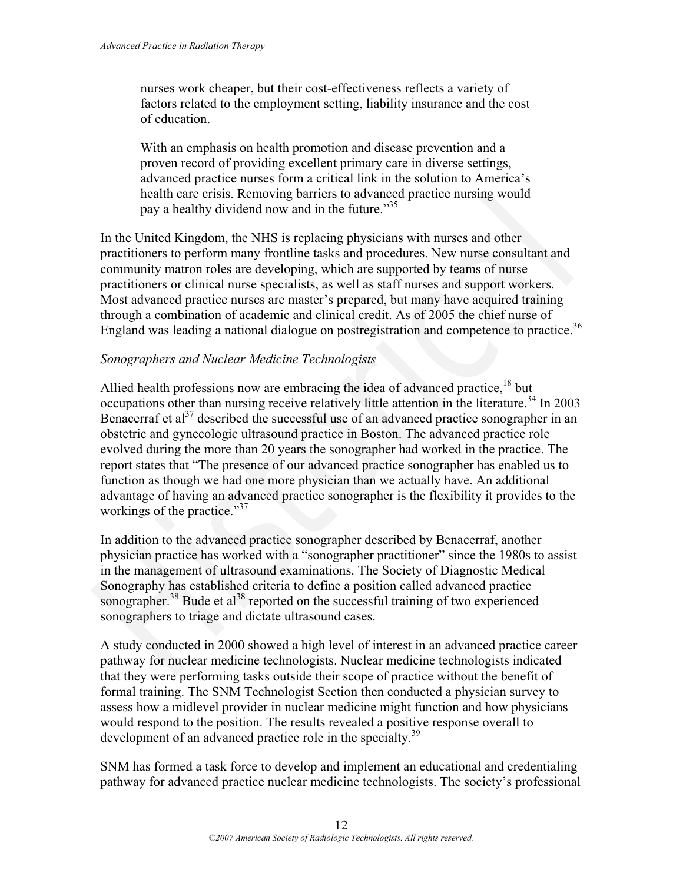nurses work cheaper, but their cost-effectiveness reflects a variety of factors related to the employment setting, liability insurance and the cost of education.

With an emphasis on health promotion and disease prevention and a proven record of providing excellent primary care in diverse settings, advanced practice nurses form a critical link in the solution to America's health care crisis. Removing barriers to advanced practice nursing would pay a healthy dividend now and in the future."<sup>35</sup>

In the United Kingdom, the NHS is replacing physicians with nurses and other practitioners to perform many frontline tasks and procedures. New nurse consultant and community matron roles are developing, which are supported by teams of nurse practitioners or clinical nurse specialists, as well as staff nurses and support workers. Most advanced practice nurses are master's prepared, but many have acquired training through a combination of academic and clinical credit. As of 2005 the chief nurse of England was leading a national dialogue on postregistration and competence to practice.<sup>36</sup>

#### *Sonographers and Nuclear Medicine Technologists*

Allied health professions now are embracing the idea of advanced practice.<sup>18</sup> but occupations other than nursing receive relatively little attention in the literature.<sup>34</sup> In 2003 Benacerraf et al<sup>37</sup> described the successful use of an advanced practice sonographer in an obstetric and gynecologic ultrasound practice in Boston. The advanced practice role evolved during the more than 20 years the sonographer had worked in the practice. The report states that "The presence of our advanced practice sonographer has enabled us to function as though we had one more physician than we actually have. An additional advantage of having an advanced practice sonographer is the flexibility it provides to the workings of the practice."<sup>37</sup> health care crisis. Removing barriers to advanced practice nursing would<br>pay a healthy dividend now and in the future.<sup>735</sup><br>In the United Kingdom, the NHS is replacing physicians with nurses and other<br>practitioners to perf

In addition to the advanced practice sonographer described by Benacerraf, another physician practice has worked with a "sonographer practitioner" since the 1980s to assist in the management of ultrasound examinations. The Society of Diagnostic Medical Sonography has established criteria to define a position called advanced practice sonographer.<sup>38</sup> Bude et al<sup>38</sup> reported on the successful training of two experienced sonographers to triage and dictate ultrasound cases.

A study conducted in 2000 showed a high level of interest in an advanced practice career pathway for nuclear medicine technologists. Nuclear medicine technologists indicated that they were performing tasks outside their scope of practice without the benefit of formal training. The SNM Technologist Section then conducted a physician survey to assess how a midlevel provider in nuclear medicine might function and how physicians would respond to the position. The results revealed a positive response overall to development of an advanced practice role in the specialty.<sup>39</sup>

SNM has formed a task force to develop and implement an educational and credentialing pathway for advanced practice nuclear medicine technologists. The society's professional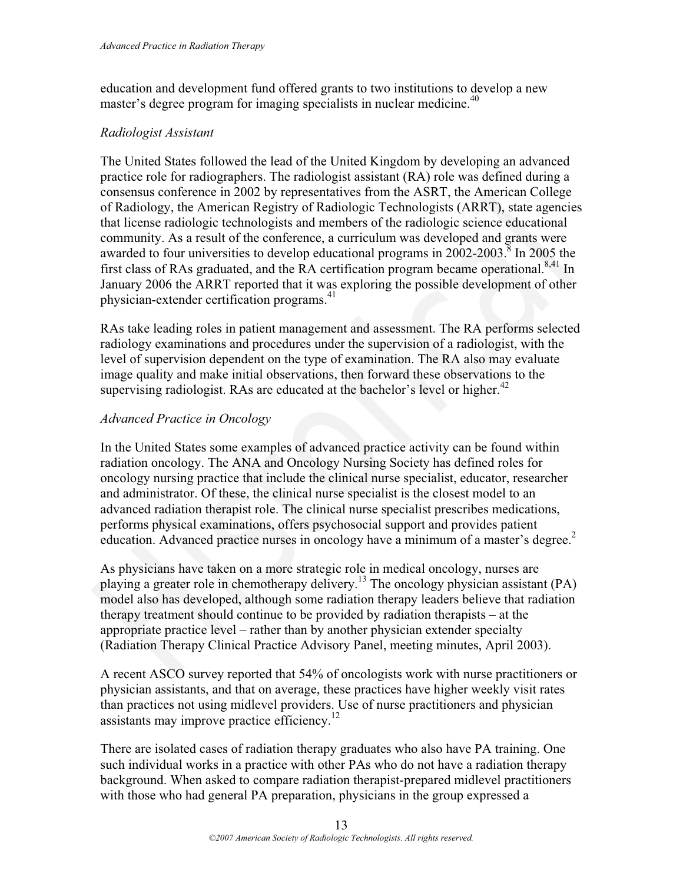education and development fund offered grants to two institutions to develop a new master's degree program for imaging specialists in nuclear medicine.<sup>40</sup>

#### *Radiologist Assistant*

The United States followed the lead of the United Kingdom by developing an advanced practice role for radiographers. The radiologist assistant (RA) role was defined during a consensus conference in 2002 by representatives from the ASRT, the American College of Radiology, the American Registry of Radiologic Technologists (ARRT), state agencies that license radiologic technologists and members of the radiologic science educational community. As a result of the conference, a curriculum was developed and grants were awarded to four universities to develop educational programs in  $2002-2003$ .<sup>8</sup> In 2005 the first class of RAs graduated, and the RA certification program became operational.<sup>8,41</sup> In January 2006 the ARRT reported that it was exploring the possible development of other physician-extender certification programs.<sup>41</sup> constrains conferrence in 2002 by representatives from the ASRT, the American College<br>of Radiology, the American Registry of Radiologic Technologists (ARRT), state agencies<br>that license radiologic technologists and members

RAs take leading roles in patient management and assessment. The RA performs selected radiology examinations and procedures under the supervision of a radiologist, with the level of supervision dependent on the type of examination. The RA also may evaluate image quality and make initial observations, then forward these observations to the supervising radiologist. RAs are educated at the bachelor's level or higher. $42$ 

#### *Advanced Practice in Oncology*

In the United States some examples of advanced practice activity can be found within radiation oncology. The ANA and Oncology Nursing Society has defined roles for oncology nursing practice that include the clinical nurse specialist, educator, researcher and administrator. Of these, the clinical nurse specialist is the closest model to an advanced radiation therapist role. The clinical nurse specialist prescribes medications, performs physical examinations, offers psychosocial support and provides patient education. Advanced practice nurses in oncology have a minimum of a master's degree.<sup>2</sup>

As physicians have taken on a more strategic role in medical oncology, nurses are playing a greater role in chemotherapy delivery.<sup>13</sup> The oncology physician assistant (PA) model also has developed, although some radiation therapy leaders believe that radiation therapy treatment should continue to be provided by radiation therapists – at the appropriate practice level – rather than by another physician extender specialty (Radiation Therapy Clinical Practice Advisory Panel, meeting minutes, April 2003).

A recent ASCO survey reported that 54% of oncologists work with nurse practitioners or physician assistants, and that on average, these practices have higher weekly visit rates than practices not using midlevel providers. Use of nurse practitioners and physician assistants may improve practice efficiency.12

There are isolated cases of radiation therapy graduates who also have PA training. One such individual works in a practice with other PAs who do not have a radiation therapy background. When asked to compare radiation therapist-prepared midlevel practitioners with those who had general PA preparation, physicians in the group expressed a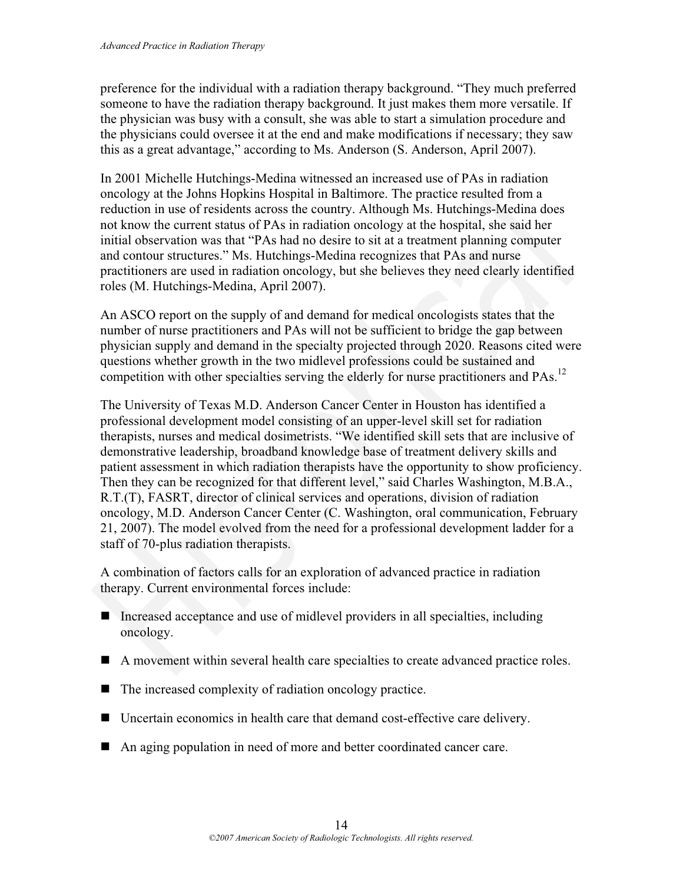preference for the individual with a radiation therapy background. "They much preferred someone to have the radiation therapy background. It just makes them more versatile. If the physician was busy with a consult, she was able to start a simulation procedure and the physicians could oversee it at the end and make modifications if necessary; they saw this as a great advantage," according to Ms. Anderson (S. Anderson, April 2007).

In 2001 Michelle Hutchings-Medina witnessed an increased use of PAs in radiation oncology at the Johns Hopkins Hospital in Baltimore. The practice resulted from a reduction in use of residents across the country. Although Ms. Hutchings-Medina does not know the current status of PAs in radiation oncology at the hospital, she said her initial observation was that "PAs had no desire to sit at a treatment planning computer and contour structures." Ms. Hutchings-Medina recognizes that PAs and nurse practitioners are used in radiation oncology, but she believes they need clearly identified roles (M. Hutchings-Medina, April 2007).

An ASCO report on the supply of and demand for medical oncologists states that the number of nurse practitioners and PAs will not be sufficient to bridge the gap between physician supply and demand in the specialty projected through 2020. Reasons cited were questions whether growth in the two midlevel professions could be sustained and competition with other specialties serving the elderly for nurse practitioners and PAs.<sup>12</sup>

The University of Texas M.D. Anderson Cancer Center in Houston has identified a professional development model consisting of an upper-level skill set for radiation therapists, nurses and medical dosimetrists. "We identified skill sets that are inclusive of demonstrative leadership, broadband knowledge base of treatment delivery skills and patient assessment in which radiation therapists have the opportunity to show proficiency. Then they can be recognized for that different level," said Charles Washington, M.B.A., R.T.(T), FASRT, director of clinical services and operations, division of radiation oncology, M.D. Anderson Cancer Center (C. Washington, oral communication, February 21, 2007). The model evolved from the need for a professional development ladder for a staff of 70-plus radiation therapists. oncology at the Johns Hopkins Hospital in Baltimore. The practice resulted from a doceduction in use of residents across the country. Although Ms. Hutchings-Medina does<br>not know the current status of PAs in radiation onco

A combination of factors calls for an exploration of advanced practice in radiation therapy. Current environmental forces include:

- Increased acceptance and use of midlevel providers in all specialties, including oncology.
- A movement within several health care specialties to create advanced practice roles.
- $\blacksquare$  The increased complexity of radiation oncology practice.
- Uncertain economics in health care that demand cost-effective care delivery.
- An aging population in need of more and better coordinated cancer care.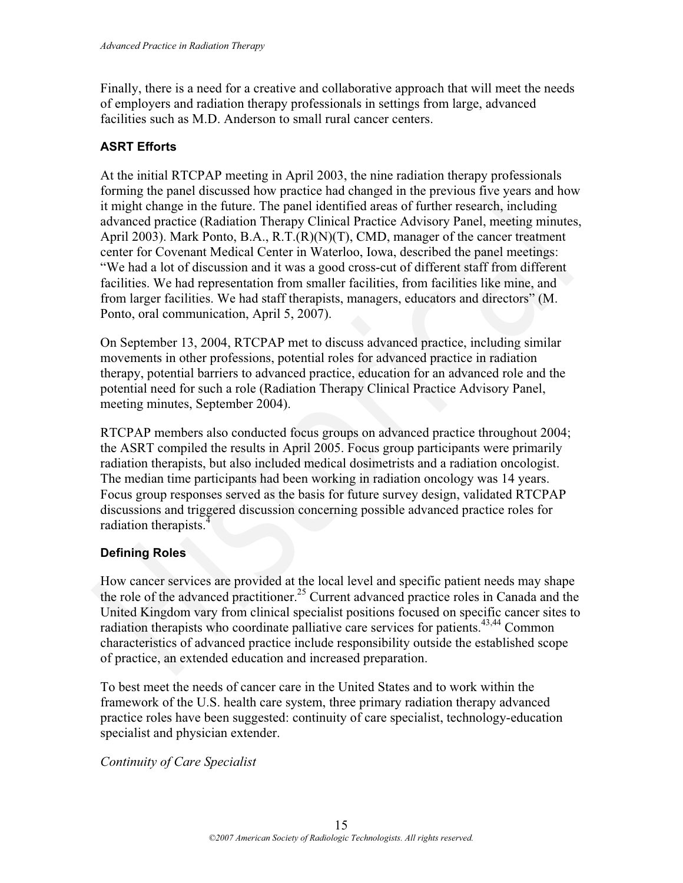Finally, there is a need for a creative and collaborative approach that will meet the needs of employers and radiation therapy professionals in settings from large, advanced facilities such as M.D. Anderson to small rural cancer centers.

#### **ASRT Efforts**

At the initial RTCPAP meeting in April 2003, the nine radiation therapy professionals forming the panel discussed how practice had changed in the previous five years and how it might change in the future. The panel identified areas of further research, including advanced practice (Radiation Therapy Clinical Practice Advisory Panel, meeting minutes, April 2003). Mark Ponto, B.A., R.T.(R)(N)(T), CMD, manager of the cancer treatment center for Covenant Medical Center in Waterloo, Iowa, described the panel meetings: "We had a lot of discussion and it was a good cross-cut of different staff from different facilities. We had representation from smaller facilities, from facilities like mine, and from larger facilities. We had staff therapists, managers, educators and directors" (M. Ponto, oral communication, April 5, 2007). forming the panel discussed how practice had changed in the previous five years and how<br>tit might change in the future. The panel identified areas of further research, including<br>advanced practice (Radiation Therapy Clinica

On September 13, 2004, RTCPAP met to discuss advanced practice, including similar movements in other professions, potential roles for advanced practice in radiation therapy, potential barriers to advanced practice, education for an advanced role and the potential need for such a role (Radiation Therapy Clinical Practice Advisory Panel, meeting minutes, September 2004).

RTCPAP members also conducted focus groups on advanced practice throughout 2004; the ASRT compiled the results in April 2005. Focus group participants were primarily radiation therapists, but also included medical dosimetrists and a radiation oncologist. The median time participants had been working in radiation oncology was 14 years. Focus group responses served as the basis for future survey design, validated RTCPAP discussions and triggered discussion concerning possible advanced practice roles for radiation therapists.<sup>4</sup>

#### **Defining Roles**

How cancer services are provided at the local level and specific patient needs may shape the role of the advanced practitioner.<sup>25</sup> Current advanced practice roles in Canada and the United Kingdom vary from clinical specialist positions focused on specific cancer sites to radiation therapists who coordinate palliative care services for patients.<sup>43,44</sup> Common characteristics of advanced practice include responsibility outside the established scope of practice, an extended education and increased preparation.

To best meet the needs of cancer care in the United States and to work within the framework of the U.S. health care system, three primary radiation therapy advanced practice roles have been suggested: continuity of care specialist, technology-education specialist and physician extender.

*Continuity of Care Specialist*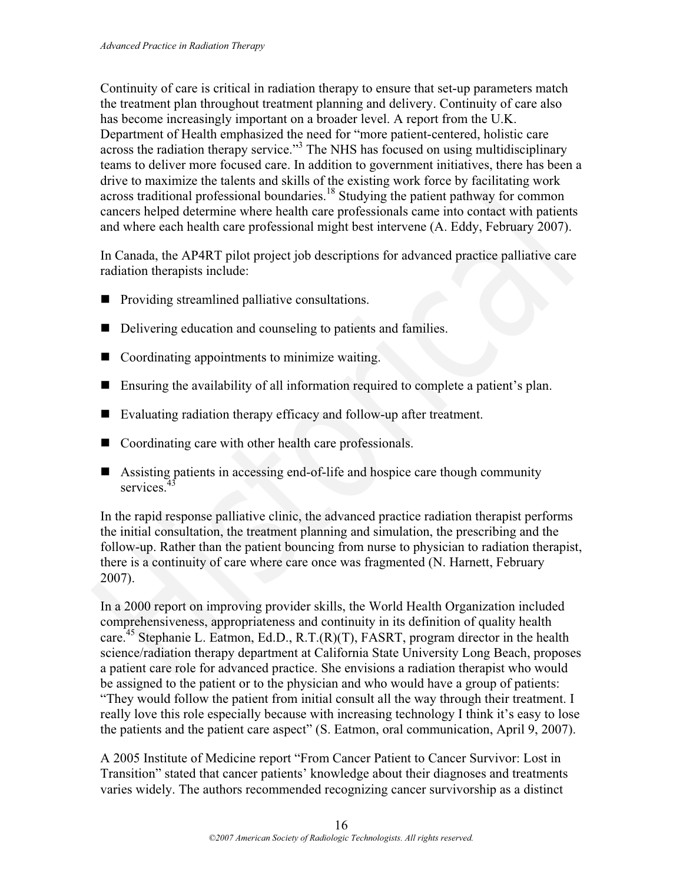Continuity of care is critical in radiation therapy to ensure that set-up parameters match the treatment plan throughout treatment planning and delivery. Continuity of care also has become increasingly important on a broader level. A report from the U.K. Department of Health emphasized the need for "more patient-centered, holistic care across the radiation therapy service."<sup>3</sup> The NHS has focused on using multidisciplinary teams to deliver more focused care. In addition to government initiatives, there has been a drive to maximize the talents and skills of the existing work force by facilitating work across traditional professional boundaries.<sup>18</sup> Studying the patient pathway for common cancers helped determine where health care professionals came into contact with patients and where each health care professional might best intervene (A. Eddy, February 2007).

In Canada, the AP4RT pilot project job descriptions for advanced practice palliative care radiation therapists include:

- **Providing streamlined palliative consultations.**
- Delivering education and counseling to patients and families.
- Coordinating appointments to minimize waiting.
- Ensuring the availability of all information required to complete a patient's plan.
- Evaluating radiation therapy efficacy and follow-up after treatment.
- Coordinating care with other health care professionals.
- Assisting patients in accessing end-of-life and hospice care though community services<sup>4</sup>

In the rapid response palliative clinic, the advanced practice radiation therapist performs the initial consultation, the treatment planning and simulation, the prescribing and the follow-up. Rather than the patient bouncing from nurse to physician to radiation therapist, there is a continuity of care where care once was fragmented (N. Harnett, February 2007). across traditional professional boundaries.<sup>18</sup> Studying the patient pathway for common<br>across traditional professional boundaries.<sup>18</sup> Studying the patient pathway for common<br>and where each health care professional might

In a 2000 report on improving provider skills, the World Health Organization included comprehensiveness, appropriateness and continuity in its definition of quality health care.<sup>45</sup> Stephanie L. Eatmon, Ed.D., R.T. $(R)(T)$ , FASRT, program director in the health science/radiation therapy department at California State University Long Beach, proposes a patient care role for advanced practice. She envisions a radiation therapist who would be assigned to the patient or to the physician and who would have a group of patients: "They would follow the patient from initial consult all the way through their treatment. I really love this role especially because with increasing technology I think it's easy to lose the patients and the patient care aspect" (S. Eatmon, oral communication, April 9, 2007).

A 2005 Institute of Medicine report "From Cancer Patient to Cancer Survivor: Lost in Transition" stated that cancer patients' knowledge about their diagnoses and treatments varies widely. The authors recommended recognizing cancer survivorship as a distinct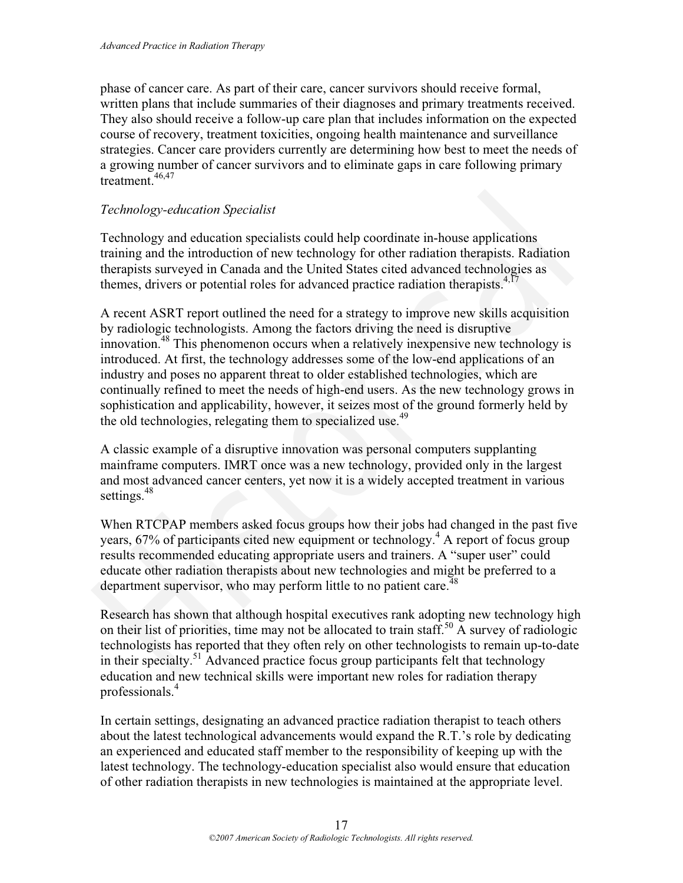phase of cancer care. As part of their care, cancer survivors should receive formal, written plans that include summaries of their diagnoses and primary treatments received. They also should receive a follow-up care plan that includes information on the expected course of recovery, treatment toxicities, ongoing health maintenance and surveillance strategies. Cancer care providers currently are determining how best to meet the needs of a growing number of cancer survivors and to eliminate gaps in care following primary  $t$ reatment.  $46,47$ 

#### *Technology-education Specialist*

Technology and education specialists could help coordinate in-house applications training and the introduction of new technology for other radiation therapists. Radiation therapists surveyed in Canada and the United States cited advanced technologies as themes, drivers or potential roles for advanced practice radiation therapists.<sup>4,17</sup>

A recent ASRT report outlined the need for a strategy to improve new skills acquisition by radiologic technologists. Among the factors driving the need is disruptive innovation.<sup>48</sup> This phenomenon occurs when a relatively inexpensive new technology is introduced. At first, the technology addresses some of the low-end applications of an industry and poses no apparent threat to older established technologies, which are continually refined to meet the needs of high-end users. As the new technology grows in sophistication and applicability, however, it seizes most of the ground formerly held by the old technologies, relegating them to specialized use.<sup>49</sup> Technology-education Specialist<br>Technology-education Specialist<br>Technology and education specialist<br>Technology and education of new technology for other radiation therapists. Radiation<br>training and the introduction of new

A classic example of a disruptive innovation was personal computers supplanting mainframe computers. IMRT once was a new technology, provided only in the largest and most advanced cancer centers, yet now it is a widely accepted treatment in various settings.<sup>48</sup>

When RTCPAP members asked focus groups how their jobs had changed in the past five years, 67% of participants cited new equipment or technology.<sup>4</sup> A report of focus group results recommended educating appropriate users and trainers. A "super user" could educate other radiation therapists about new technologies and might be preferred to a department supervisor, who may perform little to no patient care.<sup>48</sup>

Research has shown that although hospital executives rank adopting new technology high on their list of priorities, time may not be allocated to train staff.<sup>50</sup> A survey of radiologic technologists has reported that they often rely on other technologists to remain up-to-date in their specialty.51 Advanced practice focus group participants felt that technology education and new technical skills were important new roles for radiation therapy professionals.4

In certain settings, designating an advanced practice radiation therapist to teach others about the latest technological advancements would expand the R.T.'s role by dedicating an experienced and educated staff member to the responsibility of keeping up with the latest technology. The technology-education specialist also would ensure that education of other radiation therapists in new technologies is maintained at the appropriate level.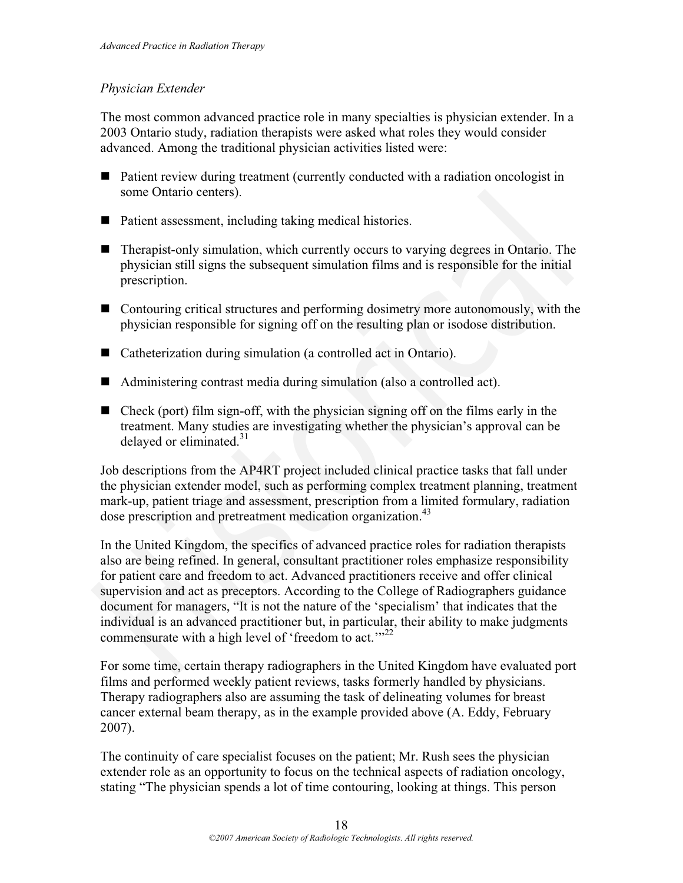#### *Physician Extender*

The most common advanced practice role in many specialties is physician extender. In a 2003 Ontario study, radiation therapists were asked what roles they would consider advanced. Among the traditional physician activities listed were:

- Patient review during treatment (currently conducted with a radiation oncologist in some Ontario centers).
- Patient assessment, including taking medical histories.
- Therapist-only simulation, which currently occurs to varying degrees in Ontario. The physician still signs the subsequent simulation films and is responsible for the initial prescription.
- Contouring critical structures and performing dosimetry more autonomously, with the physician responsible for signing off on the resulting plan or isodose distribution.
- Catheterization during simulation (a controlled act in Ontario).
- Administering contrast media during simulation (also a controlled act).
- $\blacksquare$  Check (port) film sign-off, with the physician signing off on the films early in the treatment. Many studies are investigating whether the physician's approval can be delayed or eliminated. $31$

Job descriptions from the AP4RT project included clinical practice tasks that fall under the physician extender model, such as performing complex treatment planning, treatment mark-up, patient triage and assessment, prescription from a limited formulary, radiation dose prescription and pretreatment medication organization.<sup>43</sup>

In the United Kingdom, the specifics of advanced practice roles for radiation therapists also are being refined. In general, consultant practitioner roles emphasize responsibility for patient care and freedom to act. Advanced practitioners receive and offer clinical supervision and act as preceptors. According to the College of Radiographers guidance document for managers, "It is not the nature of the 'specialism' that indicates that the individual is an advanced practitioner but, in particular, their ability to make judgments commensurate with a high level of 'freedom to act.'"<sup>22</sup> ■ Patient assessment, including taking medical histories.<br>
■ Therapist-only simulation, which currently occurs to varying degrees in Ontario. The<br>
physician still signs the subsequent simulation films and is responsible

For some time, certain therapy radiographers in the United Kingdom have evaluated port films and performed weekly patient reviews, tasks formerly handled by physicians. Therapy radiographers also are assuming the task of delineating volumes for breast cancer external beam therapy, as in the example provided above (A. Eddy, February 2007).

The continuity of care specialist focuses on the patient; Mr. Rush sees the physician extender role as an opportunity to focus on the technical aspects of radiation oncology, stating "The physician spends a lot of time contouring, looking at things. This person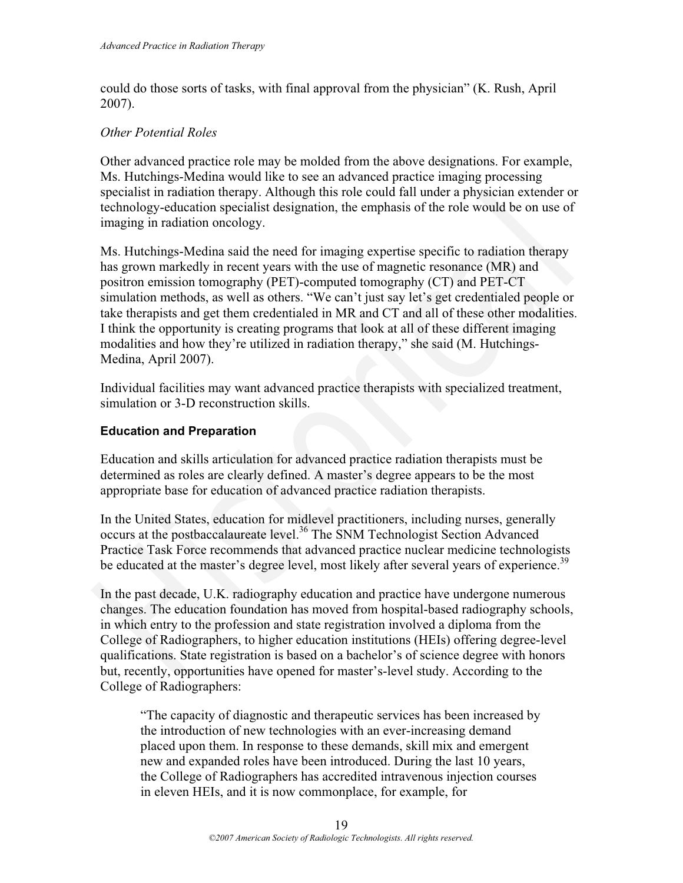could do those sorts of tasks, with final approval from the physician" (K. Rush, April 2007).

#### *Other Potential Roles*

Other advanced practice role may be molded from the above designations. For example, Ms. Hutchings-Medina would like to see an advanced practice imaging processing specialist in radiation therapy. Although this role could fall under a physician extender or technology-education specialist designation, the emphasis of the role would be on use of imaging in radiation oncology.

Ms. Hutchings-Medina said the need for imaging expertise specific to radiation therapy has grown markedly in recent years with the use of magnetic resonance (MR) and positron emission tomography (PET)-computed tomography (CT) and PET-CT simulation methods, as well as others. "We can't just say let's get credentialed people or take therapists and get them credentialed in MR and CT and all of these other modalities. I think the opportunity is creating programs that look at all of these different imaging modalities and how they're utilized in radiation therapy," she said (M. Hutchings-Medina, April 2007). specialist in radiation therapy. Although this role could fall under a physician extender or the<br>dechandogy-education specialist designation, the emphasis of the role would be on use of<br>timaging in radiation oneology.<br>Ms.

Individual facilities may want advanced practice therapists with specialized treatment, simulation or 3-D reconstruction skills.

#### **Education and Preparation**

Education and skills articulation for advanced practice radiation therapists must be determined as roles are clearly defined. A master's degree appears to be the most appropriate base for education of advanced practice radiation therapists.

In the United States, education for midlevel practitioners, including nurses, generally occurs at the postbaccalaureate level.<sup>36</sup> The SNM Technologist Section Advanced Practice Task Force recommends that advanced practice nuclear medicine technologists be educated at the master's degree level, most likely after several years of experience.<sup>39</sup>

In the past decade, U.K. radiography education and practice have undergone numerous changes. The education foundation has moved from hospital-based radiography schools, in which entry to the profession and state registration involved a diploma from the College of Radiographers, to higher education institutions (HEIs) offering degree-level qualifications. State registration is based on a bachelor's of science degree with honors but, recently, opportunities have opened for master's-level study. According to the College of Radiographers:

"The capacity of diagnostic and therapeutic services has been increased by the introduction of new technologies with an ever-increasing demand placed upon them. In response to these demands, skill mix and emergent new and expanded roles have been introduced. During the last 10 years, the College of Radiographers has accredited intravenous injection courses in eleven HEIs, and it is now commonplace, for example, for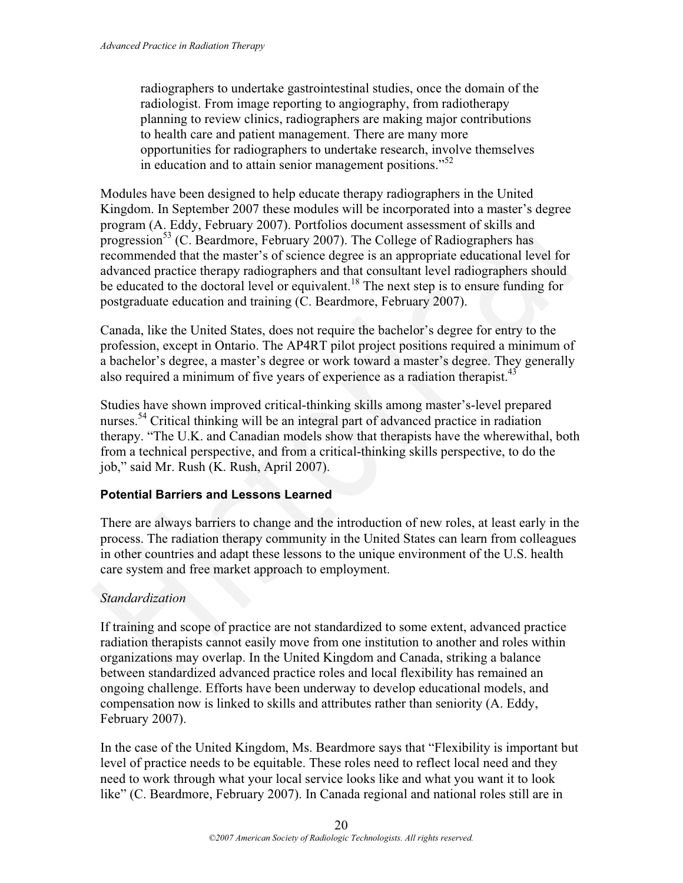radiographers to undertake gastrointestinal studies, once the domain of the radiologist. From image reporting to angiography, from radiotherapy planning to review clinics, radiographers are making major contributions to health care and patient management. There are many more opportunities for radiographers to undertake research, involve themselves in education and to attain senior management positions."<sup>52</sup>

Modules have been designed to help educate therapy radiographers in the United Kingdom. In September 2007 these modules will be incorporated into a master's degree program (A. Eddy, February 2007). Portfolios document assessment of skills and progression<sup>53</sup> (C. Beardmore, February 2007). The College of Radiographers has recommended that the master's of science degree is an appropriate educational level for advanced practice therapy radiographers and that consultant level radiographers should be educated to the doctoral level or equivalent.<sup>18</sup> The next step is to ensure funding for postgraduate education and training (C. Beardmore, February 2007). Modules have been designed to help educate therapy radiographers in the United<br>Kingdom. In September 2007 these modules will be incorporated into a master's degree<br>program (A. Feddy, February 2007). Portfolios document ass

Canada, like the United States, does not require the bachelor's degree for entry to the profession, except in Ontario. The AP4RT pilot project positions required a minimum of a bachelor's degree, a master's degree or work toward a master's degree. They generally also required a minimum of five years of experience as a radiation therapist.<sup>43</sup>

Studies have shown improved critical-thinking skills among master's-level prepared nurses.<sup>54</sup> Critical thinking will be an integral part of advanced practice in radiation therapy. "The U.K. and Canadian models show that therapists have the wherewithal, both from a technical perspective, and from a critical-thinking skills perspective, to do the job," said Mr. Rush (K. Rush, April 2007).

#### **Potential Barriers and Lessons Learned**

There are always barriers to change and the introduction of new roles, at least early in the process. The radiation therapy community in the United States can learn from colleagues in other countries and adapt these lessons to the unique environment of the U.S. health care system and free market approach to employment.

#### *Standardization*

If training and scope of practice are not standardized to some extent, advanced practice radiation therapists cannot easily move from one institution to another and roles within organizations may overlap. In the United Kingdom and Canada, striking a balance between standardized advanced practice roles and local flexibility has remained an ongoing challenge. Efforts have been underway to develop educational models, and compensation now is linked to skills and attributes rather than seniority (A. Eddy, February 2007).

In the case of the United Kingdom, Ms. Beardmore says that "Flexibility is important but level of practice needs to be equitable. These roles need to reflect local need and they need to work through what your local service looks like and what you want it to look like" (C. Beardmore, February 2007). In Canada regional and national roles still are in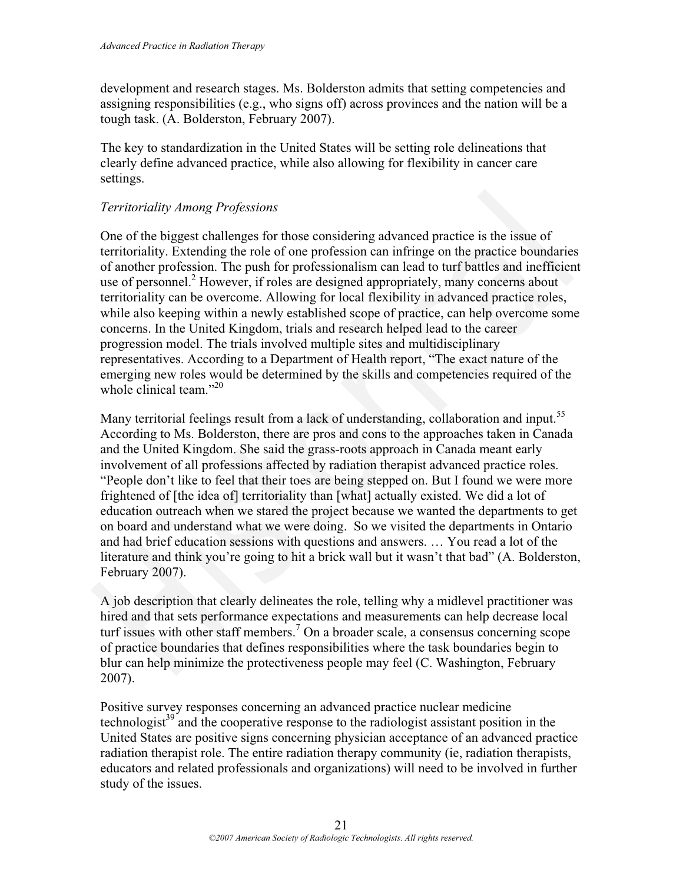development and research stages. Ms. Bolderston admits that setting competencies and assigning responsibilities (e.g., who signs off) across provinces and the nation will be a tough task. (A. Bolderston, February 2007).

The key to standardization in the United States will be setting role delineations that clearly define advanced practice, while also allowing for flexibility in cancer care settings.

#### *Territoriality Among Professions*

One of the biggest challenges for those considering advanced practice is the issue of territoriality. Extending the role of one profession can infringe on the practice boundaries of another profession. The push for professionalism can lead to turf battles and inefficient use of personnel.<sup>2</sup> However, if roles are designed appropriately, many concerns about territoriality can be overcome. Allowing for local flexibility in advanced practice roles, while also keeping within a newly established scope of practice, can help overcome some concerns. In the United Kingdom, trials and research helped lead to the career progression model. The trials involved multiple sites and multidisciplinary representatives. According to a Department of Health report, "The exact nature of the emerging new roles would be determined by the skills and competencies required of the whole clinical team."<sup>20</sup> *Territoriality Among Professions*<br>One of the biggest challenges for those considering advanced practice is the issue of<br>eterritoriality. Extending the role of one profession can infringe on the practice boundaries<br>diarott

Many territorial feelings result from a lack of understanding, collaboration and input.<sup>55</sup> According to Ms. Bolderston, there are pros and cons to the approaches taken in Canada and the United Kingdom. She said the grass-roots approach in Canada meant early involvement of all professions affected by radiation therapist advanced practice roles. "People don't like to feel that their toes are being stepped on. But I found we were more frightened of [the idea of] territoriality than [what] actually existed. We did a lot of education outreach when we stared the project because we wanted the departments to get on board and understand what we were doing. So we visited the departments in Ontario and had brief education sessions with questions and answers. … You read a lot of the literature and think you're going to hit a brick wall but it wasn't that bad" (A. Bolderston, February 2007).

A job description that clearly delineates the role, telling why a midlevel practitioner was hired and that sets performance expectations and measurements can help decrease local turf issues with other staff members.<sup>7</sup> On a broader scale, a consensus concerning scope of practice boundaries that defines responsibilities where the task boundaries begin to blur can help minimize the protectiveness people may feel (C. Washington, February 2007).

Positive survey responses concerning an advanced practice nuclear medicine technologist<sup>39</sup> and the cooperative response to the radiologist assistant position in the United States are positive signs concerning physician acceptance of an advanced practice radiation therapist role. The entire radiation therapy community (ie, radiation therapists, educators and related professionals and organizations) will need to be involved in further study of the issues.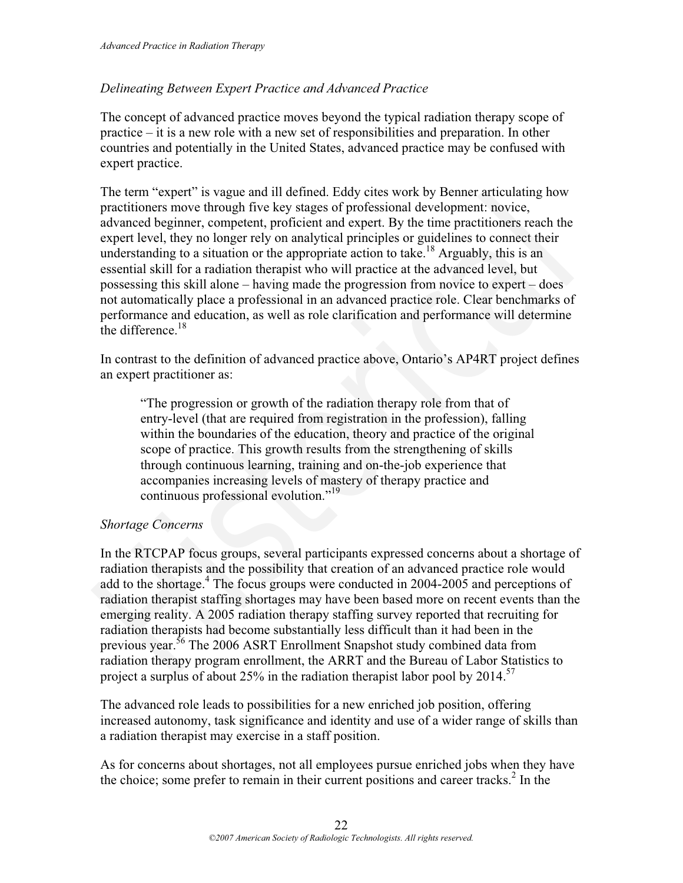#### *Delineating Between Expert Practice and Advanced Practice*

The concept of advanced practice moves beyond the typical radiation therapy scope of practice – it is a new role with a new set of responsibilities and preparation. In other countries and potentially in the United States, advanced practice may be confused with expert practice.

The term "expert" is vague and ill defined. Eddy cites work by Benner articulating how practitioners move through five key stages of professional development: novice, advanced beginner, competent, proficient and expert. By the time practitioners reach the expert level, they no longer rely on analytical principles or guidelines to connect their understanding to a situation or the appropriate action to take.<sup>18</sup> Arguably, this is an essential skill for a radiation therapist who will practice at the advanced level, but possessing this skill alone – having made the progression from novice to expert – does not automatically place a professional in an advanced practice role. Clear benchmarks of performance and education, as well as role clarification and performance will determine the difference  $18$ The term "expert" is vague and ill defined. Eddy cites work by Benner articulating how<br>practitioners move through fire key stages of professional development: novice,<br>expert level, they no longer rely and specifical movic

In contrast to the definition of advanced practice above, Ontario's AP4RT project defines an expert practitioner as:

"The progression or growth of the radiation therapy role from that of entry-level (that are required from registration in the profession), falling within the boundaries of the education, theory and practice of the original scope of practice. This growth results from the strengthening of skills through continuous learning, training and on-the-job experience that accompanies increasing levels of mastery of therapy practice and continuous professional evolution."<sup>19</sup>

#### *Shortage Concerns*

In the RTCPAP focus groups, several participants expressed concerns about a shortage of radiation therapists and the possibility that creation of an advanced practice role would add to the shortage.<sup>4</sup> The focus groups were conducted in 2004-2005 and perceptions of radiation therapist staffing shortages may have been based more on recent events than the emerging reality. A 2005 radiation therapy staffing survey reported that recruiting for radiation therapists had become substantially less difficult than it had been in the previous year.<sup>56</sup> The 2006 ASRT Enrollment Snapshot study combined data from radiation therapy program enrollment, the ARRT and the Bureau of Labor Statistics to project a surplus of about 25% in the radiation therapist labor pool by 2014.<sup>57</sup>

The advanced role leads to possibilities for a new enriched job position, offering increased autonomy, task significance and identity and use of a wider range of skills than a radiation therapist may exercise in a staff position.

As for concerns about shortages, not all employees pursue enriched jobs when they have the choice; some prefer to remain in their current positions and career tracks.<sup>2</sup> In the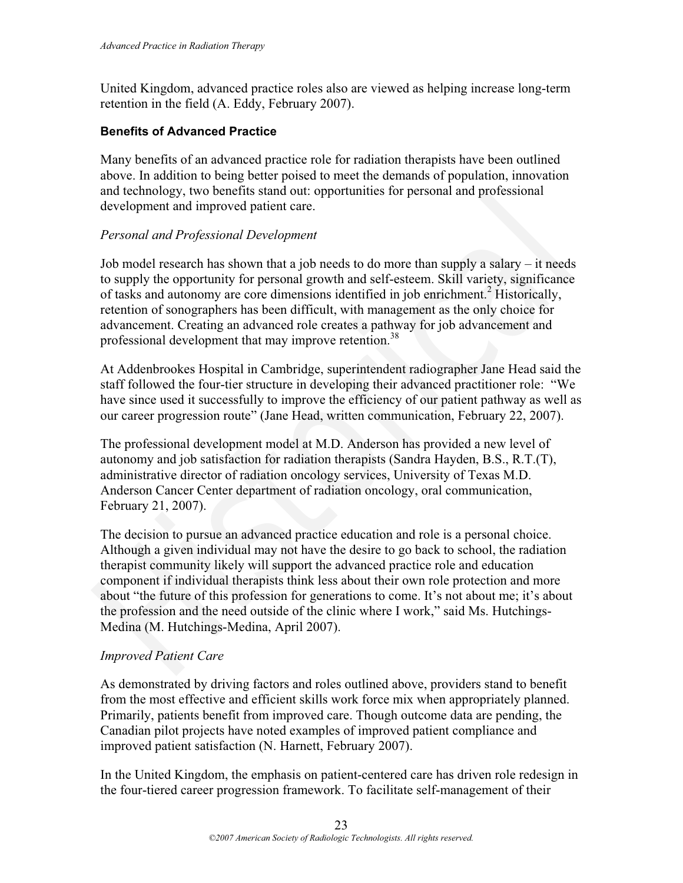United Kingdom, advanced practice roles also are viewed as helping increase long-term retention in the field (A. Eddy, February 2007).

#### **Benefits of Advanced Practice**

Many benefits of an advanced practice role for radiation therapists have been outlined above. In addition to being better poised to meet the demands of population, innovation and technology, two benefits stand out: opportunities for personal and professional development and improved patient care.

#### *Personal and Professional Development*

Job model research has shown that a job needs to do more than supply a salary – it needs to supply the opportunity for personal growth and self-esteem. Skill variety, significance of tasks and autonomy are core dimensions identified in job enrichment.<sup>2</sup> Historically, retention of sonographers has been difficult, with management as the only choice for advancement. Creating an advanced role creates a pathway for job advancement and professional development that may improve retention.<sup>38</sup>

At Addenbrookes Hospital in Cambridge, superintendent radiographer Jane Head said the staff followed the four-tier structure in developing their advanced practitioner role: "We have since used it successfully to improve the efficiency of our patient pathway as well as our career progression route" (Jane Head, written communication, February 22, 2007).

The professional development model at M.D. Anderson has provided a new level of autonomy and job satisfaction for radiation therapists (Sandra Hayden, B.S., R.T.(T), administrative director of radiation oncology services, University of Texas M.D. Anderson Cancer Center department of radiation oncology, oral communication, February 21, 2007).

The decision to pursue an advanced practice education and role is a personal choice. Although a given individual may not have the desire to go back to school, the radiation therapist community likely will support the advanced practice role and education component if individual therapists think less about their own role protection and more about "the future of this profession for generations to come. It's not about me; it's about the profession and the need outside of the clinic where I work," said Ms. Hutchings-Medina (M. Hutchings-Medina, April 2007). and technology, two benefits stand out: opportunities for personal and professional<br>development and improved patient care.<br> *Personal and Professional Development*<br> *Desemand and Professional Development*<br> *Dosemand and Pr* 

#### *Improved Patient Care*

As demonstrated by driving factors and roles outlined above, providers stand to benefit from the most effective and efficient skills work force mix when appropriately planned. Primarily, patients benefit from improved care. Though outcome data are pending, the Canadian pilot projects have noted examples of improved patient compliance and improved patient satisfaction (N. Harnett, February 2007).

In the United Kingdom, the emphasis on patient-centered care has driven role redesign in the four-tiered career progression framework. To facilitate self-management of their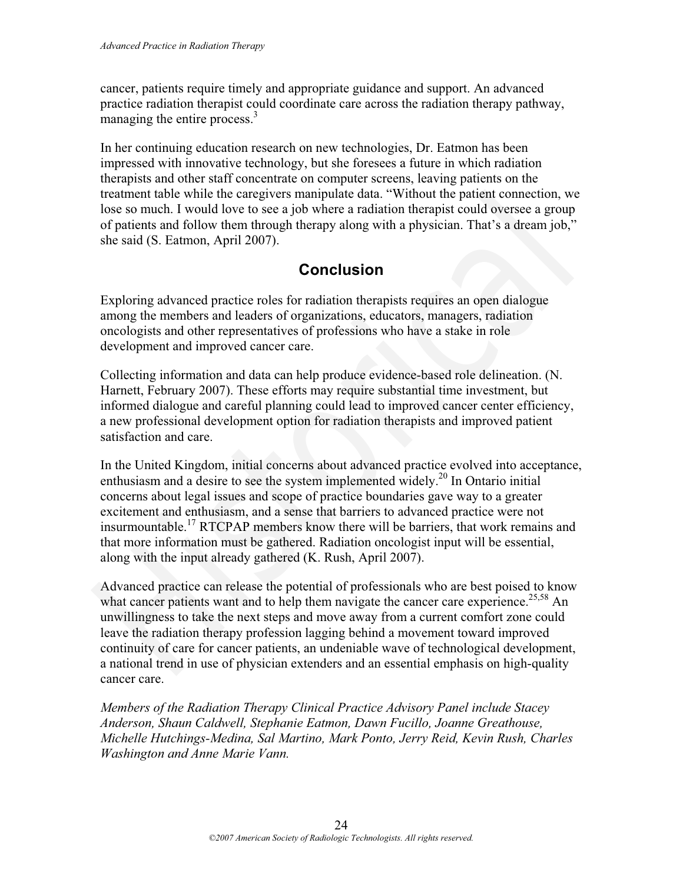cancer, patients require timely and appropriate guidance and support. An advanced practice radiation therapist could coordinate care across the radiation therapy pathway, managing the entire process. $3$ 

In her continuing education research on new technologies, Dr. Eatmon has been impressed with innovative technology, but she foresees a future in which radiation therapists and other staff concentrate on computer screens, leaving patients on the treatment table while the caregivers manipulate data. "Without the patient connection, we lose so much. I would love to see a job where a radiation therapist could oversee a group of patients and follow them through therapy along with a physician. That's a dream job," she said (S. Eatmon, April 2007).

# **Conclusion**

Exploring advanced practice roles for radiation therapists requires an open dialogue among the members and leaders of organizations, educators, managers, radiation oncologists and other representatives of professions who have a stake in role development and improved cancer care.

Collecting information and data can help produce evidence-based role delineation. (N. Harnett, February 2007). These efforts may require substantial time investment, but informed dialogue and careful planning could lead to improved cancer center efficiency, a new professional development option for radiation therapists and improved patient satisfaction and care.

In the United Kingdom, initial concerns about advanced practice evolved into acceptance, enthusiasm and a desire to see the system implemented widely.20 In Ontario initial concerns about legal issues and scope of practice boundaries gave way to a greater excitement and enthusiasm, and a sense that barriers to advanced practice were not insurmountable.17 RTCPAP members know there will be barriers, that work remains and that more information must be gathered. Radiation oncologist input will be essential, along with the input already gathered (K. Rush, April 2007). treatment table while the caregivers manipulate data. "Without the patient connection, we<br>lose so much. I would love to see a job where a radiation therapist could oversee a group<br>of patients and follow them through therap

Advanced practice can release the potential of professionals who are best poised to know what cancer patients want and to help them navigate the cancer care experience.<sup>25,58</sup> An unwillingness to take the next steps and move away from a current comfort zone could leave the radiation therapy profession lagging behind a movement toward improved continuity of care for cancer patients, an undeniable wave of technological development, a national trend in use of physician extenders and an essential emphasis on high-quality cancer care.

*Members of the Radiation Therapy Clinical Practice Advisory Panel include Stacey Anderson, Shaun Caldwell, Stephanie Eatmon, Dawn Fucillo, Joanne Greathouse, Michelle Hutchings-Medina, Sal Martino, Mark Ponto, Jerry Reid, Kevin Rush, Charles Washington and Anne Marie Vann.*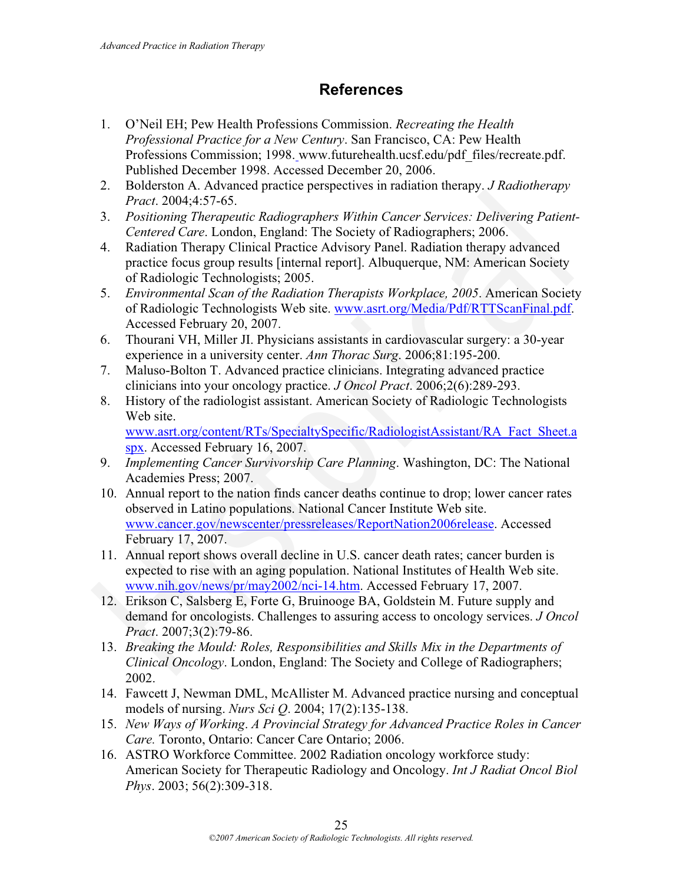## **References**

- 1. O'Neil EH; Pew Health Professions Commission. *Recreating the Health Professional Practice for a New Century*. San Francisco, CA: Pew Health Professions Commission; 1998. www.futurehealth.ucsf.edu/pdf\_files/recreate.pdf. Published December 1998. Accessed December 20, 2006.
- 2. Bolderston A. Advanced practice perspectives in radiation therapy. *J Radiotherapy Pract*. 2004;4:57-65.
- 3. *Positioning Therapeutic Radiographers Within Cancer Services: Delivering Patient-Centered Care*. London, England: The Society of Radiographers; 2006.
- 4. Radiation Therapy Clinical Practice Advisory Panel. Radiation therapy advanced practice focus group results [internal report]. Albuquerque, NM: American Society of Radiologic Technologists; 2005.
- 5. *Environmental Scan of the Radiation Therapists Workplace, 2005*. American Society of Radiologic Technologists Web site. www.asrt.org/Media/Pdf/RTTScanFinal.pdf. Accessed February 20, 2007.
- 6. Thourani VH, Miller JI. Physicians assistants in cardiovascular surgery: a 30-year experience in a university center. *Ann Thorac Surg*. 2006;81:195-200.
- 7. Maluso-Bolton T. Advanced practice clinicians. Integrating advanced practice clinicians into your oncology practice. *J Oncol Pract*. 2006;2(6):289-293.
- 8. History of the radiologist assistant. American Society of Radiologic Technologists Web site. www.asrt.org/content/RTs/SpecialtySpecific/RadiologistAssistant/RA\_Fact\_Sheet.a

spx. Accessed February 16, 2007.

- 9. *Implementing Cancer Survivorship Care Planning*. Washington, DC: The National Academies Press; 2007.
- 10. Annual report to the nation finds cancer deaths continue to drop; lower cancer rates observed in Latino populations. National Cancer Institute Web site. www.cancer.gov/newscenter/pressreleases/ReportNation2006release. Accessed February 17, 2007. 2. Boucrston A. Avanced practice perspectives in radiation inerary. *J. Radiomerany*<br> *Pract. 2004;4:57-65.*<br> *Pract. 2004;4:57-65.*<br> *Centered Care.* London, England: The Society of Radiographers: *Delivering Patientical*
- 11. Annual report shows overall decline in U.S. cancer death rates; cancer burden is expected to rise with an aging population. National Institutes of Health Web site. www.nih.gov/news/pr/may2002/nci-14.htm. Accessed February 17, 2007.
- 12. Erikson C, Salsberg E, Forte G, Bruinooge BA, Goldstein M. Future supply and demand for oncologists. Challenges to assuring access to oncology services. *J Oncol Pract*. 2007;3(2):79-86.
- 13. *Breaking the Mould: Roles, Responsibilities and Skills Mix in the Departments of Clinical Oncology*. London, England: The Society and College of Radiographers; 2002.
- 14. Fawcett J, Newman DML, McAllister M. Advanced practice nursing and conceptual models of nursing. *Nurs Sci Q*. 2004; 17(2):135-138.
- 15. *New Ways of Working*. *A Provincial Strategy for Advanced Practice Roles in Cancer Care.* Toronto, Ontario: Cancer Care Ontario; 2006.
- 16. ASTRO Workforce Committee. 2002 Radiation oncology workforce study: American Society for Therapeutic Radiology and Oncology. *Int J Radiat Oncol Biol Phys*. 2003; 56(2):309-318.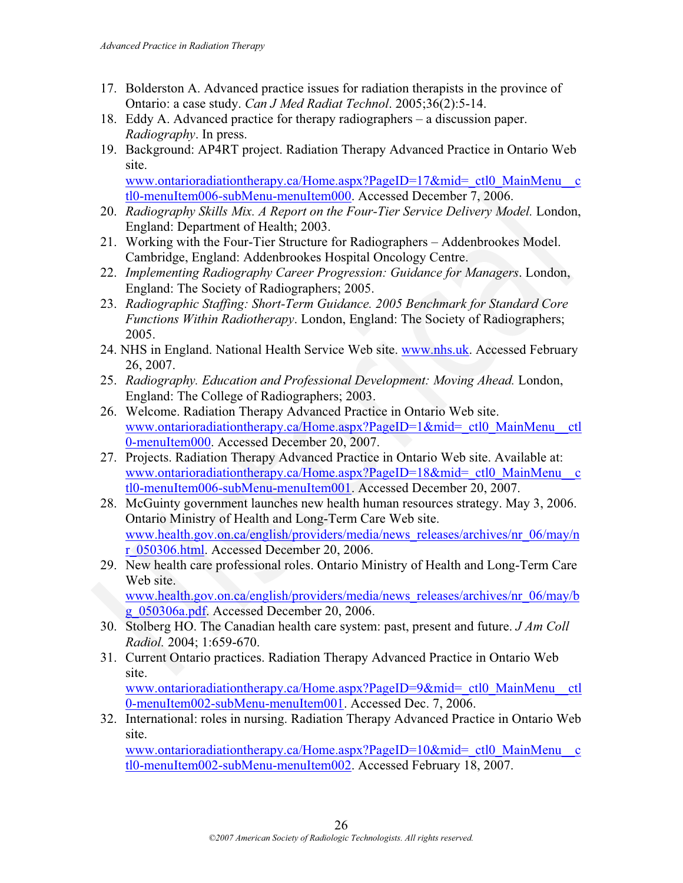- 17. Bolderston A. Advanced practice issues for radiation therapists in the province of Ontario: a case study. *Can J Med Radiat Technol*. 2005;36(2):5-14.
- 18. Eddy A. Advanced practice for therapy radiographers a discussion paper. *Radiography*. In press.
- 19. Background: AP4RT project. Radiation Therapy Advanced Practice in Ontario Web site.

www.ontarioradiationtherapy.ca/Home.aspx?PageID=17&mid=\_ctl0\_MainMenu\_\_c tl0-menuItem006-subMenu-menuItem000. Accessed December 7, 2006.

- 20. *Radiography Skills Mix. A Report on the Four-Tier Service Delivery Model.* London, England: Department of Health; 2003.
- 21. Working with the Four-Tier Structure for Radiographers Addenbrookes Model. Cambridge, England: Addenbrookes Hospital Oncology Centre.
- 22. *Implementing Radiography Career Progression: Guidance for Managers*. London, England: The Society of Radiographers; 2005.
- 23. *Radiographic Staffing: Short-Term Guidance. 2005 Benchmark for Standard Core Functions Within Radiotherapy*. London, England: The Society of Radiographers; 2005.
- 24. NHS in England. National Health Service Web site. www.nhs.uk. Accessed February 26, 2007.
- 25. *Radiography. Education and Professional Development: Moving Ahead.* London, England: The College of Radiographers; 2003.
- 26. Welcome. Radiation Therapy Advanced Practice in Ontario Web site. www.ontarioradiationtherapy.ca/Home.aspx?PageID=1&mid= ctl0 MainMenu ctl 0-menuItem000. Accessed December 20, 2007.
- 27. Projects. Radiation Therapy Advanced Practice in Ontario Web site. Available at: www.ontarioradiationtherapy.ca/Home.aspx?PageID=18&mid=\_ctl0\_MainMenu\_\_c tl0-menuItem006-subMenu-menuItem001. Accessed December 20, 2007.
- 28. McGuinty government launches new health human resources strategy. May 3, 2006. Ontario Ministry of Health and Long-Term Care Web site. www.health.gov.on.ca/english/providers/media/news\_releases/archives/nr\_06/may/n r\_050306.html. Accessed December 20, 2006. 10-menultem006-subMenu-menultem000. Accessed December 7, 2006.<br>
Radiography Skills Mix. A Report on the Four-Tier Service Delivery Model. London, Ringland: Department of Health; 2003.<br>
21. Working with the Four-Tier Struct
- 29. New health care professional roles. Ontario Ministry of Health and Long-Term Care Web site.

www.health.gov.on.ca/english/providers/media/news\_releases/archives/nr\_06/may/b g\_050306a.pdf. Accessed December 20, 2006.

- 30. Stolberg HO. The Canadian health care system: past, present and future. *J Am Coll Radiol.* 2004; 1:659-670.
- 31. Current Ontario practices. Radiation Therapy Advanced Practice in Ontario Web site. www.ontarioradiationtherapy.ca/Home.aspx?PageID=9&mid=\_ctl0\_MainMenu\_\_ctl 0-menuItem002-subMenu-menuItem001. Accessed Dec. 7, 2006.
- 32. International: roles in nursing. Radiation Therapy Advanced Practice in Ontario Web site.

www.ontarioradiationtherapy.ca/Home.aspx?PageID=10&mid=\_ctl0\_MainMenu\_\_c tl0-menuItem002-subMenu-menuItem002. Accessed February 18, 2007.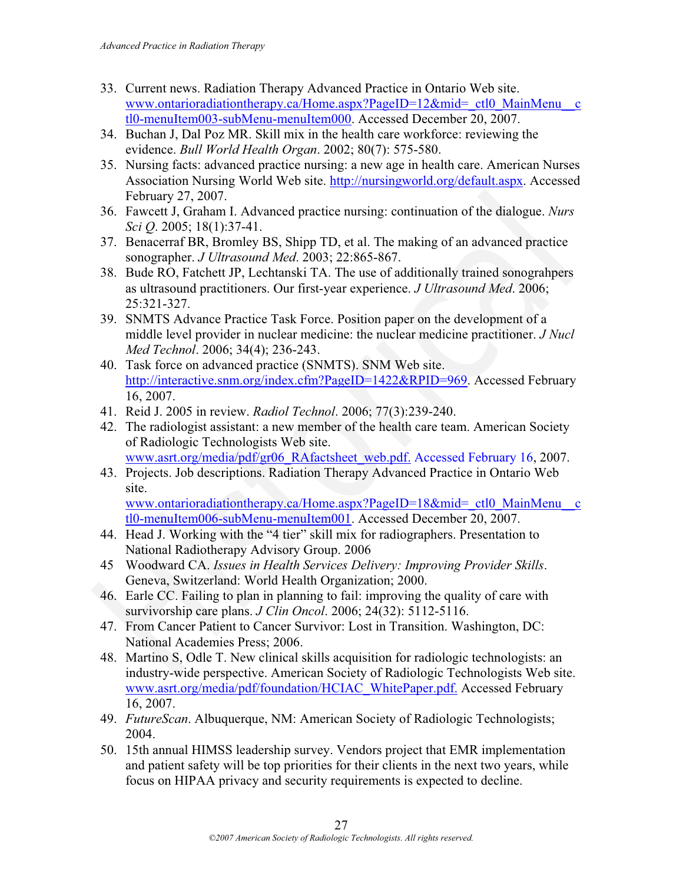- 33. Current news. Radiation Therapy Advanced Practice in Ontario Web site. www.ontarioradiationtherapy.ca/Home.aspx?PageID=12&mid= ctl0 MainMenu c tl0-menuItem003-subMenu-menuItem000. Accessed December 20, 2007.
- 34. Buchan J, Dal Poz MR. Skill mix in the health care workforce: reviewing the evidence. *Bull World Health Organ*. 2002; 80(7): 575-580.
- 35. Nursing facts: advanced practice nursing: a new age in health care. American Nurses Association Nursing World Web site. http://nursingworld.org/default.aspx. Accessed February 27, 2007.
- 36. Fawcett J, Graham I. Advanced practice nursing: continuation of the dialogue. *Nurs Sci Q*. 2005; 18(1):37-41.
- 37. Benacerraf BR, Bromley BS, Shipp TD, et al. The making of an advanced practice sonographer. *J Ultrasound Med*. 2003; 22:865-867.
- 38. Bude RO, Fatchett JP, Lechtanski TA. The use of additionally trained sonograhpers as ultrasound practitioners. Our first-year experience. *J Ultrasound Med*. 2006; 25:321-327.
- 39. SNMTS Advance Practice Task Force. Position paper on the development of a middle level provider in nuclear medicine: the nuclear medicine practitioner. *J Nucl Med Technol*. 2006; 34(4); 236-243.
- 40. Task force on advanced practice (SNMTS). SNM Web site. http://interactive.snm.org/index.cfm?PageID=1422&RPID=969. Accessed February 16, 2007. February 27, 2007.<br>
16. February 27, 2007.<br>
16. February 27, 2007.<br>
16. February 1. Advanced practice nursing: continuation of the dialogue. Nurs<br>
36. February 18. Hence the R, Bromley BS, Shipp TD, et al. The making of an
- 41. Reid J. 2005 in review. *Radiol Technol*. 2006; 77(3):239-240.
- 42. The radiologist assistant: a new member of the health care team. American Society of Radiologic Technologists Web site.

www.asrt.org/media/pdf/gr06\_RAfactsheet\_web.pdf. Accessed February 16, 2007.

43. Projects. Job descriptions. Radiation Therapy Advanced Practice in Ontario Web site.

www.ontarioradiationtherapy.ca/Home.aspx?PageID=18&mid=\_ctl0\_MainMenu\_\_c tl0-menuItem006-subMenu-menuItem001. Accessed December 20, 2007.

- 44. Head J. Working with the "4 tier" skill mix for radiographers. Presentation to National Radiotherapy Advisory Group. 2006
- 45 Woodward CA. *Issues in Health Services Delivery: Improving Provider Skills*. Geneva, Switzerland: World Health Organization; 2000.
- 46. Earle CC. Failing to plan in planning to fail: improving the quality of care with survivorship care plans. *J Clin Oncol*. 2006; 24(32): 5112-5116.
- 47. From Cancer Patient to Cancer Survivor: Lost in Transition. Washington, DC: National Academies Press; 2006.
- 48. Martino S, Odle T. New clinical skills acquisition for radiologic technologists: an industry-wide perspective. American Society of Radiologic Technologists Web site. www.asrt.org/media/pdf/foundation/HCIAC\_WhitePaper.pdf. Accessed February 16, 2007.
- 49. *FutureScan*. Albuquerque, NM: American Society of Radiologic Technologists; 2004.
- 50. 15th annual HIMSS leadership survey. Vendors project that EMR implementation and patient safety will be top priorities for their clients in the next two years, while focus on HIPAA privacy and security requirements is expected to decline.